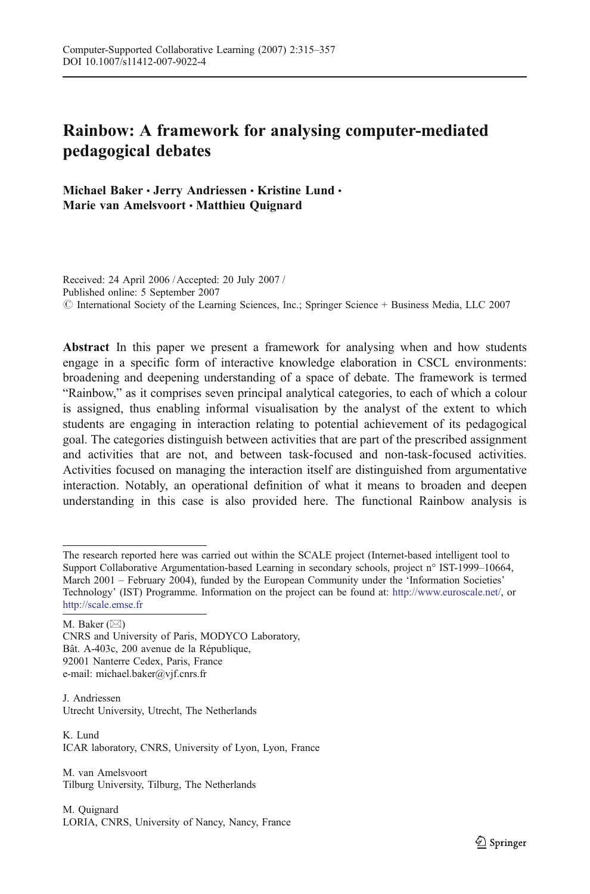# Rainbow: A framework for analysing computer-mediated pedagogical debates

Michael Baker · Jerry Andriessen · Kristine Lund · Marie van Amelsvoort • Matthieu Quignard

Received: 24 April 2006 / Accepted: 20 July 2007 / Published online: 5 September 2007 # International Society of the Learning Sciences, Inc.; Springer Science + Business Media, LLC 2007

Abstract In this paper we present a framework for analysing when and how students engage in a specific form of interactive knowledge elaboration in CSCL environments: broadening and deepening understanding of a space of debate. The framework is termed "Rainbow," as it comprises seven principal analytical categories, to each of which a colour is assigned, thus enabling informal visualisation by the analyst of the extent to which students are engaging in interaction relating to potential achievement of its pedagogical goal. The categories distinguish between activities that are part of the prescribed assignment and activities that are not, and between task-focused and non-task-focused activities. Activities focused on managing the interaction itself are distinguished from argumentative interaction. Notably, an operational definition of what it means to broaden and deepen understanding in this case is also provided here. The functional Rainbow analysis is

M. Baker  $(\boxtimes)$ 

CNRS and University of Paris, MODYCO Laboratory, Bât. A-403c, 200 avenue de la République, 92001 Nanterre Cedex, Paris, France e-mail: michael.baker@vjf.cnrs.fr

J. Andriessen Utrecht University, Utrecht, The Netherlands

K. Lund ICAR laboratory, CNRS, University of Lyon, Lyon, France

M. van Amelsvoort Tilburg University, Tilburg, The Netherlands

M. Quignard LORIA, CNRS, University of Nancy, Nancy, France

The research reported here was carried out within the SCALE project (Internet-based intelligent tool to Support Collaborative Argumentation-based Learning in secondary schools, project n° IST-1999–10664, March 2001 – February 2004), funded by the European Community under the 'Information Societies' Technology' (IST) Programme. Information on the project can be found at: <http://www.euroscale.net/>, or <http://scale.emse.fr>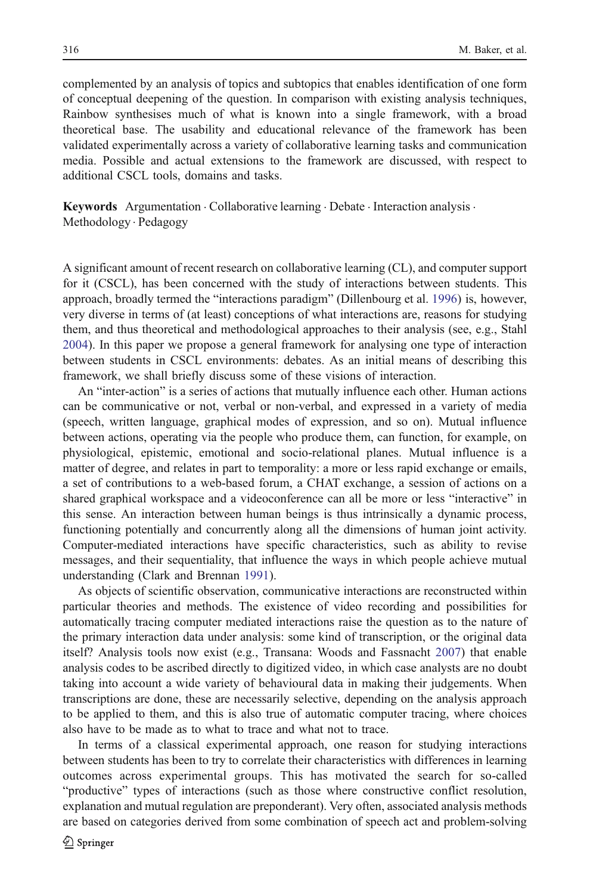complemented by an analysis of topics and subtopics that enables identification of one form of conceptual deepening of the question. In comparison with existing analysis techniques, Rainbow synthesises much of what is known into a single framework, with a broad theoretical base. The usability and educational relevance of the framework has been validated experimentally across a variety of collaborative learning tasks and communication media. Possible and actual extensions to the framework are discussed, with respect to additional CSCL tools, domains and tasks.

**Keywords** Argumentation  $\cdot$  Collaborative learning  $\cdot$  Debate  $\cdot$  Interaction analysis  $\cdot$ Methodology . Pedagogy

A significant amount of recent research on collaborative learning (CL), and computer support for it (CSCL), has been concerned with the study of interactions between students. This approach, broadly termed the "interactions paradigm" (Dillenbourg et al. [1996\)](#page-40-0) is, however, very diverse in terms of (at least) conceptions of what interactions are, reasons for studying them, and thus theoretical and methodological approaches to their analysis (see, e.g., Stahl [2004\)](#page-41-0). In this paper we propose a general framework for analysing one type of interaction between students in CSCL environments: debates. As an initial means of describing this framework, we shall briefly discuss some of these visions of interaction.

An "inter-action" is a series of actions that mutually influence each other. Human actions can be communicative or not, verbal or non-verbal, and expressed in a variety of media (speech, written language, graphical modes of expression, and so on). Mutual influence between actions, operating via the people who produce them, can function, for example, on physiological, epistemic, emotional and socio-relational planes. Mutual influence is a matter of degree, and relates in part to temporality: a more or less rapid exchange or emails, a set of contributions to a web-based forum, a CHAT exchange, a session of actions on a shared graphical workspace and a videoconference can all be more or less "interactive" in this sense. An interaction between human beings is thus intrinsically a dynamic process, functioning potentially and concurrently along all the dimensions of human joint activity. Computer-mediated interactions have specific characteristics, such as ability to revise messages, and their sequentiality, that influence the ways in which people achieve mutual understanding (Clark and Brennan [1991\)](#page-40-0).

As objects of scientific observation, communicative interactions are reconstructed within particular theories and methods. The existence of video recording and possibilities for automatically tracing computer mediated interactions raise the question as to the nature of the primary interaction data under analysis: some kind of transcription, or the original data itself? Analysis tools now exist (e.g., Transana: Woods and Fassnacht [2007\)](#page-42-0) that enable analysis codes to be ascribed directly to digitized video, in which case analysts are no doubt taking into account a wide variety of behavioural data in making their judgements. When transcriptions are done, these are necessarily selective, depending on the analysis approach to be applied to them, and this is also true of automatic computer tracing, where choices also have to be made as to what to trace and what not to trace.

In terms of a classical experimental approach, one reason for studying interactions between students has been to try to correlate their characteristics with differences in learning outcomes across experimental groups. This has motivated the search for so-called "productive" types of interactions (such as those where constructive conflict resolution, explanation and mutual regulation are preponderant). Very often, associated analysis methods are based on categories derived from some combination of speech act and problem-solving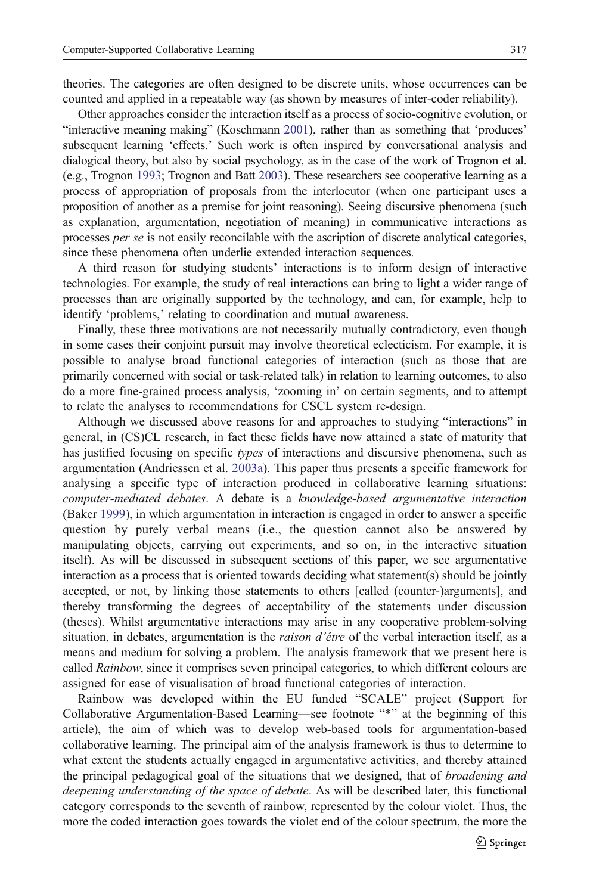theories. The categories are often designed to be discrete units, whose occurrences can be counted and applied in a repeatable way (as shown by measures of inter-coder reliability).

Other approaches consider the interaction itself as a process of socio-cognitive evolution, or "interactive meaning making" (Koschmann [2001](#page-40-0)), rather than as something that 'produces' subsequent learning 'effects.' Such work is often inspired by conversational analysis and dialogical theory, but also by social psychology, as in the case of the work of Trognon et al. (e.g., Trognon [1993](#page-41-0); Trognon and Batt [2003](#page-41-0)). These researchers see cooperative learning as a process of appropriation of proposals from the interlocutor (when one participant uses a proposition of another as a premise for joint reasoning). Seeing discursive phenomena (such as explanation, argumentation, negotiation of meaning) in communicative interactions as processes per se is not easily reconcilable with the ascription of discrete analytical categories, since these phenomena often underlie extended interaction sequences.

A third reason for studying students' interactions is to inform design of interactive technologies. For example, the study of real interactions can bring to light a wider range of processes than are originally supported by the technology, and can, for example, help to identify 'problems,' relating to coordination and mutual awareness.

Finally, these three motivations are not necessarily mutually contradictory, even though in some cases their conjoint pursuit may involve theoretical eclecticism. For example, it is possible to analyse broad functional categories of interaction (such as those that are primarily concerned with social or task-related talk) in relation to learning outcomes, to also do a more fine-grained process analysis, 'zooming in' on certain segments, and to attempt to relate the analyses to recommendations for CSCL system re-design.

Although we discussed above reasons for and approaches to studying "interactions" in general, in (CS)CL research, in fact these fields have now attained a state of maturity that has justified focusing on specific types of interactions and discursive phenomena, such as argumentation (Andriessen et al. [2003a](#page-39-0)). This paper thus presents a specific framework for analysing a specific type of interaction produced in collaborative learning situations: computer-mediated debates. A debate is a knowledge-based argumentative interaction (Baker [1999](#page-39-0)), in which argumentation in interaction is engaged in order to answer a specific question by purely verbal means (i.e., the question cannot also be answered by manipulating objects, carrying out experiments, and so on, in the interactive situation itself). As will be discussed in subsequent sections of this paper, we see argumentative interaction as a process that is oriented towards deciding what statement(s) should be jointly accepted, or not, by linking those statements to others [called (counter-)arguments], and thereby transforming the degrees of acceptability of the statements under discussion (theses). Whilst argumentative interactions may arise in any cooperative problem-solving situation, in debates, argumentation is the *raison d'être* of the verbal interaction itself, as a means and medium for solving a problem. The analysis framework that we present here is called *Rainbow*, since it comprises seven principal categories, to which different colours are assigned for ease of visualisation of broad functional categories of interaction.

Rainbow was developed within the EU funded "SCALE" project (Support for Collaborative Argumentation-Based Learning—see footnote "\*" at the beginning of this article), the aim of which was to develop web-based tools for argumentation-based collaborative learning. The principal aim of the analysis framework is thus to determine to what extent the students actually engaged in argumentative activities, and thereby attained the principal pedagogical goal of the situations that we designed, that of *broadening and* deepening understanding of the space of debate. As will be described later, this functional category corresponds to the seventh of rainbow, represented by the colour violet. Thus, the more the coded interaction goes towards the violet end of the colour spectrum, the more the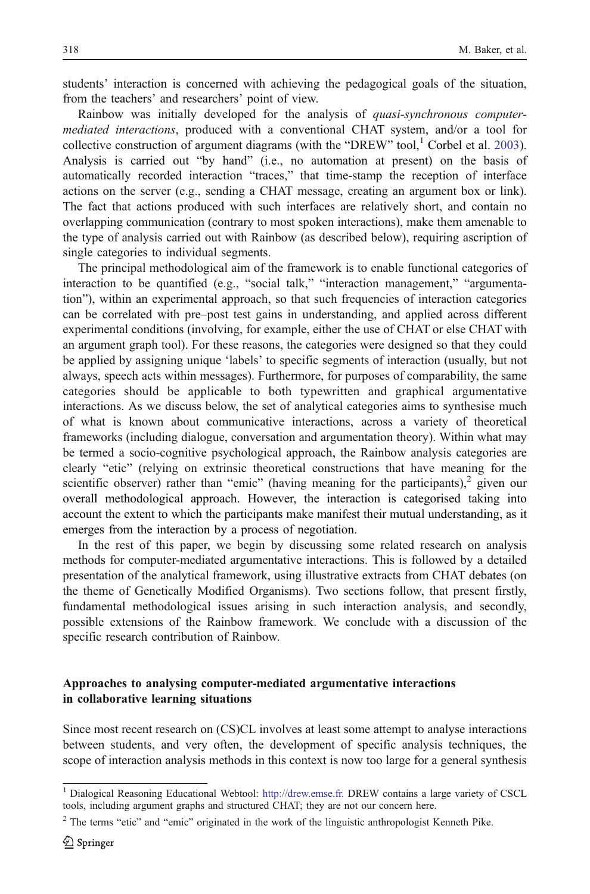students' interaction is concerned with achieving the pedagogical goals of the situation, from the teachers' and researchers' point of view.

Rainbow was initially developed for the analysis of quasi-synchronous computermediated interactions, produced with a conventional CHAT system, and/or a tool for collective construction of argument diagrams (with the "DREW" tool, $^1$  Corbel et al. [2003](#page-40-0)). Analysis is carried out "by hand" (i.e., no automation at present) on the basis of automatically recorded interaction "traces," that time-stamp the reception of interface actions on the server (e.g., sending a CHAT message, creating an argument box or link). The fact that actions produced with such interfaces are relatively short, and contain no overlapping communication (contrary to most spoken interactions), make them amenable to the type of analysis carried out with Rainbow (as described below), requiring ascription of single categories to individual segments.

The principal methodological aim of the framework is to enable functional categories of interaction to be quantified (e.g., "social talk," "interaction management," "argumentation"), within an experimental approach, so that such frequencies of interaction categories can be correlated with pre–post test gains in understanding, and applied across different experimental conditions (involving, for example, either the use of CHAT or else CHAT with an argument graph tool). For these reasons, the categories were designed so that they could be applied by assigning unique 'labels' to specific segments of interaction (usually, but not always, speech acts within messages). Furthermore, for purposes of comparability, the same categories should be applicable to both typewritten and graphical argumentative interactions. As we discuss below, the set of analytical categories aims to synthesise much of what is known about communicative interactions, across a variety of theoretical frameworks (including dialogue, conversation and argumentation theory). Within what may be termed a socio-cognitive psychological approach, the Rainbow analysis categories are clearly "etic" (relying on extrinsic theoretical constructions that have meaning for the scientific observer) rather than "emic" (having meaning for the participants), $2$  given our overall methodological approach. However, the interaction is categorised taking into account the extent to which the participants make manifest their mutual understanding, as it emerges from the interaction by a process of negotiation.

In the rest of this paper, we begin by discussing some related research on analysis methods for computer-mediated argumentative interactions. This is followed by a detailed presentation of the analytical framework, using illustrative extracts from CHAT debates (on the theme of Genetically Modified Organisms). Two sections follow, that present firstly, fundamental methodological issues arising in such interaction analysis, and secondly, possible extensions of the Rainbow framework. We conclude with a discussion of the specific research contribution of Rainbow.

# Approaches to analysing computer-mediated argumentative interactions in collaborative learning situations

Since most recent research on (CS)CL involves at least some attempt to analyse interactions between students, and very often, the development of specific analysis techniques, the scope of interaction analysis methods in this context is now too large for a general synthesis

<sup>1</sup> Dialogical Reasoning Educational Webtool: <http://drew.emse.fr.> DREW contains a large variety of CSCL tools, including argument graphs and structured CHAT; they are not our concern here.

<sup>&</sup>lt;sup>2</sup> The terms "etic" and "emic" originated in the work of the linguistic anthropologist Kenneth Pike.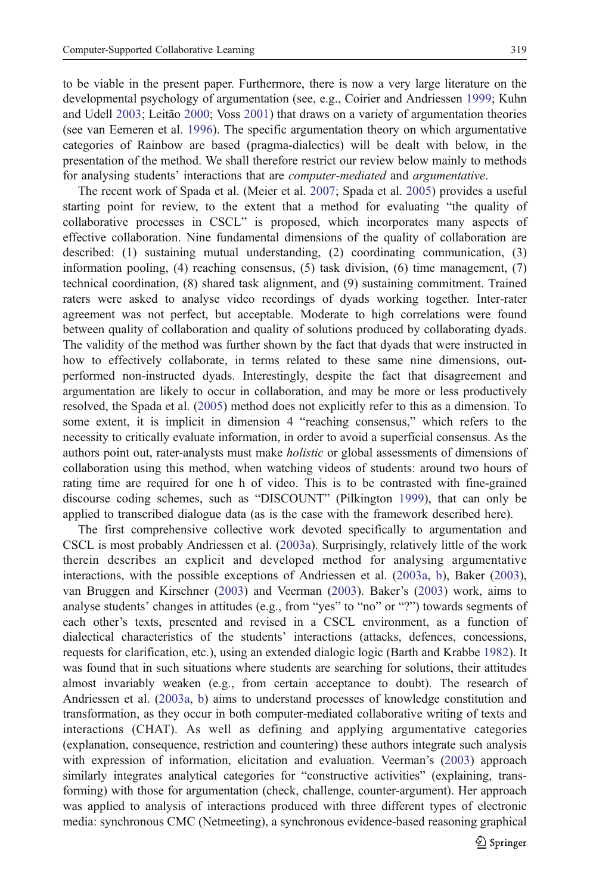to be viable in the present paper. Furthermore, there is now a very large literature on the developmental psychology of argumentation (see, e.g., Coirier and Andriessen [1999](#page-40-0); Kuhn and Udell [2003;](#page-40-0) Leitão [2000](#page-40-0); Voss [2001\)](#page-42-0) that draws on a variety of argumentation theories (see van Eemeren et al. [1996\)](#page-42-0). The specific argumentation theory on which argumentative categories of Rainbow are based (pragma-dialectics) will be dealt with below, in the presentation of the method. We shall therefore restrict our review below mainly to methods for analysing students' interactions that are *computer-mediated* and *argumentative*.

The recent work of Spada et al. (Meier et al. [2007;](#page-41-0) Spada et al. [2005\)](#page-41-0) provides a useful starting point for review, to the extent that a method for evaluating "the quality of collaborative processes in CSCL" is proposed, which incorporates many aspects of effective collaboration. Nine fundamental dimensions of the quality of collaboration are described: (1) sustaining mutual understanding, (2) coordinating communication, (3) information pooling, (4) reaching consensus, (5) task division, (6) time management, (7) technical coordination, (8) shared task alignment, and (9) sustaining commitment. Trained raters were asked to analyse video recordings of dyads working together. Inter-rater agreement was not perfect, but acceptable. Moderate to high correlations were found between quality of collaboration and quality of solutions produced by collaborating dyads. The validity of the method was further shown by the fact that dyads that were instructed in how to effectively collaborate, in terms related to these same nine dimensions, outperformed non-instructed dyads. Interestingly, despite the fact that disagreement and argumentation are likely to occur in collaboration, and may be more or less productively resolved, the Spada et al. [\(2005](#page-41-0)) method does not explicitly refer to this as a dimension. To some extent, it is implicit in dimension 4 "reaching consensus," which refers to the necessity to critically evaluate information, in order to avoid a superficial consensus. As the authors point out, rater-analysts must make *holistic* or global assessments of dimensions of collaboration using this method, when watching videos of students: around two hours of rating time are required for one h of video. This is to be contrasted with fine-grained discourse coding schemes, such as "DISCOUNT" (Pilkington [1999](#page-41-0)), that can only be applied to transcribed dialogue data (as is the case with the framework described here).

The first comprehensive collective work devoted specifically to argumentation and CSCL is most probably Andriessen et al. ([2003a\)](#page-39-0). Surprisingly, relatively little of the work therein describes an explicit and developed method for analysing argumentative interactions, with the possible exceptions of Andriessen et al. ([2003a,](#page-39-0) [b\)](#page-39-0), Baker [\(2003](#page-40-0)), van Bruggen and Kirschner ([2003\)](#page-42-0) and Veerman [\(2003](#page-42-0)). Baker's ([2003\)](#page-40-0) work, aims to analyse students' changes in attitudes (e.g., from "yes" to "no" or "?") towards segments of each other's texts, presented and revised in a CSCL environment, as a function of dialectical characteristics of the students' interactions (attacks, defences, concessions, requests for clarification, etc.), using an extended dialogic logic (Barth and Krabbe [1982](#page-40-0)). It was found that in such situations where students are searching for solutions, their attitudes almost invariably weaken (e.g., from certain acceptance to doubt). The research of Andriessen et al. [\(2003a,](#page-39-0) [b](#page-39-0)) aims to understand processes of knowledge constitution and transformation, as they occur in both computer-mediated collaborative writing of texts and interactions (CHAT). As well as defining and applying argumentative categories (explanation, consequence, restriction and countering) these authors integrate such analysis with expression of information, elicitation and evaluation. Veerman's [\(2003](#page-42-0)) approach similarly integrates analytical categories for "constructive activities" (explaining, transforming) with those for argumentation (check, challenge, counter-argument). Her approach was applied to analysis of interactions produced with three different types of electronic media: synchronous CMC (Netmeeting), a synchronous evidence-based reasoning graphical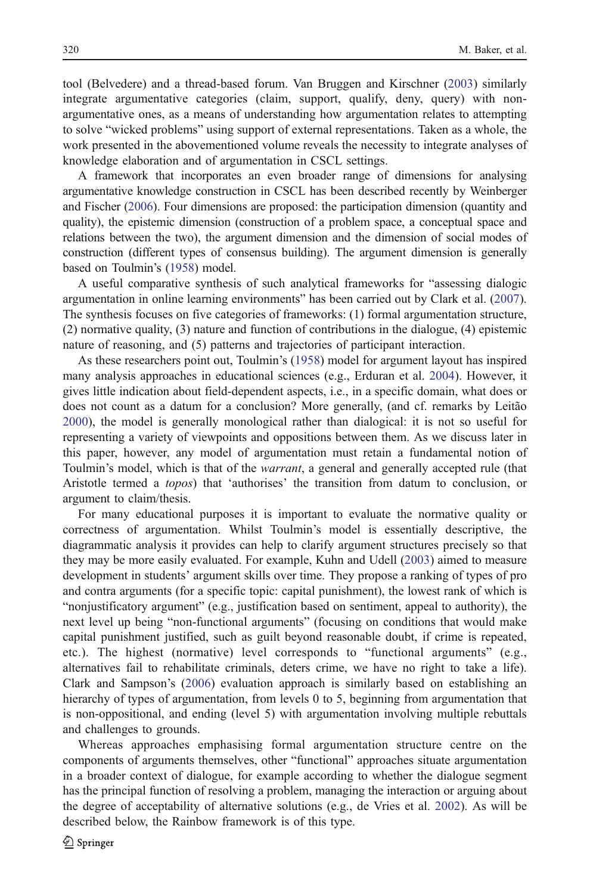tool (Belvedere) and a thread-based forum. Van Bruggen and Kirschner ([2003\)](#page-42-0) similarly integrate argumentative categories (claim, support, qualify, deny, query) with nonargumentative ones, as a means of understanding how argumentation relates to attempting to solve "wicked problems" using support of external representations. Taken as a whole, the work presented in the abovementioned volume reveals the necessity to integrate analyses of knowledge elaboration and of argumentation in CSCL settings.

A framework that incorporates an even broader range of dimensions for analysing argumentative knowledge construction in CSCL has been described recently by Weinberger and Fischer [\(2006](#page-42-0)). Four dimensions are proposed: the participation dimension (quantity and quality), the epistemic dimension (construction of a problem space, a conceptual space and relations between the two), the argument dimension and the dimension of social modes of construction (different types of consensus building). The argument dimension is generally based on Toulmin's [\(1958\)](#page-41-0) model.

A useful comparative synthesis of such analytical frameworks for "assessing dialogic argumentation in online learning environments" has been carried out by Clark et al. [\(2007](#page-40-0)). The synthesis focuses on five categories of frameworks: (1) formal argumentation structure, (2) normative quality, (3) nature and function of contributions in the dialogue, (4) epistemic nature of reasoning, and (5) patterns and trajectories of participant interaction.

As these researchers point out, Toulmin's ([1958\)](#page-41-0) model for argument layout has inspired many analysis approaches in educational sciences (e.g., Erduran et al. [2004\)](#page-40-0). However, it gives little indication about field-dependent aspects, i.e., in a specific domain, what does or does not count as a datum for a conclusion? More generally, (and cf. remarks by Leitão [2000\)](#page-40-0), the model is generally monological rather than dialogical: it is not so useful for representing a variety of viewpoints and oppositions between them. As we discuss later in this paper, however, any model of argumentation must retain a fundamental notion of Toulmin's model, which is that of the warrant, a general and generally accepted rule (that Aristotle termed a topos) that 'authorises' the transition from datum to conclusion, or argument to claim/thesis.

For many educational purposes it is important to evaluate the normative quality or correctness of argumentation. Whilst Toulmin's model is essentially descriptive, the diagrammatic analysis it provides can help to clarify argument structures precisely so that they may be more easily evaluated. For example, Kuhn and Udell [\(2003](#page-40-0)) aimed to measure development in students' argument skills over time. They propose a ranking of types of pro and contra arguments (for a specific topic: capital punishment), the lowest rank of which is "nonjustificatory argument" (e.g., justification based on sentiment, appeal to authority), the next level up being "non-functional arguments" (focusing on conditions that would make capital punishment justified, such as guilt beyond reasonable doubt, if crime is repeated, etc.). The highest (normative) level corresponds to "functional arguments" (e.g., alternatives fail to rehabilitate criminals, deters crime, we have no right to take a life). Clark and Sampson's [\(2006](#page-40-0)) evaluation approach is similarly based on establishing an hierarchy of types of argumentation, from levels 0 to 5, beginning from argumentation that is non-oppositional, and ending (level 5) with argumentation involving multiple rebuttals and challenges to grounds.

Whereas approaches emphasising formal argumentation structure centre on the components of arguments themselves, other "functional" approaches situate argumentation in a broader context of dialogue, for example according to whether the dialogue segment has the principal function of resolving a problem, managing the interaction or arguing about the degree of acceptability of alternative solutions (e.g., de Vries et al. [2002](#page-40-0)). As will be described below, the Rainbow framework is of this type.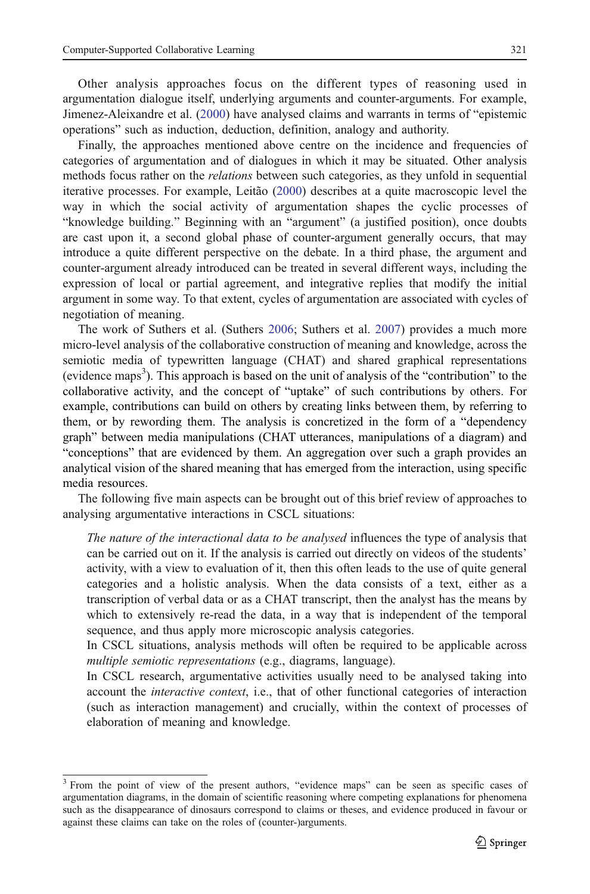Other analysis approaches focus on the different types of reasoning used in argumentation dialogue itself, underlying arguments and counter-arguments. For example, Jimenez-Aleixandre et al. [\(2000](#page-40-0)) have analysed claims and warrants in terms of "epistemic operations" such as induction, deduction, definition, analogy and authority.

Finally, the approaches mentioned above centre on the incidence and frequencies of categories of argumentation and of dialogues in which it may be situated. Other analysis methods focus rather on the *relations* between such categories, as they unfold in sequential iterative processes. For example, Leitão [\(2000](#page-40-0)) describes at a quite macroscopic level the way in which the social activity of argumentation shapes the cyclic processes of "knowledge building." Beginning with an "argument" (a justified position), once doubts are cast upon it, a second global phase of counter-argument generally occurs, that may introduce a quite different perspective on the debate. In a third phase, the argument and counter-argument already introduced can be treated in several different ways, including the expression of local or partial agreement, and integrative replies that modify the initial argument in some way. To that extent, cycles of argumentation are associated with cycles of negotiation of meaning.

The work of Suthers et al. (Suthers [2006;](#page-41-0) Suthers et al. [2007\)](#page-41-0) provides a much more micro-level analysis of the collaborative construction of meaning and knowledge, across the semiotic media of typewritten language (CHAT) and shared graphical representations (evidence maps<sup>3</sup>). This approach is based on the unit of analysis of the "contribution" to the collaborative activity, and the concept of "uptake" of such contributions by others. For example, contributions can build on others by creating links between them, by referring to them, or by rewording them. The analysis is concretized in the form of a "dependency graph" between media manipulations (CHAT utterances, manipulations of a diagram) and "conceptions" that are evidenced by them. An aggregation over such a graph provides an analytical vision of the shared meaning that has emerged from the interaction, using specific media resources.

The following five main aspects can be brought out of this brief review of approaches to analysing argumentative interactions in CSCL situations:

The nature of the interactional data to be analysed influences the type of analysis that can be carried out on it. If the analysis is carried out directly on videos of the students' activity, with a view to evaluation of it, then this often leads to the use of quite general categories and a holistic analysis. When the data consists of a text, either as a transcription of verbal data or as a CHAT transcript, then the analyst has the means by which to extensively re-read the data, in a way that is independent of the temporal sequence, and thus apply more microscopic analysis categories.

In CSCL situations, analysis methods will often be required to be applicable across multiple semiotic representations (e.g., diagrams, language).

In CSCL research, argumentative activities usually need to be analysed taking into account the interactive context, i.e., that of other functional categories of interaction (such as interaction management) and crucially, within the context of processes of elaboration of meaning and knowledge.

<sup>3</sup> From the point of view of the present authors, "evidence maps" can be seen as specific cases of argumentation diagrams, in the domain of scientific reasoning where competing explanations for phenomena such as the disappearance of dinosaurs correspond to claims or theses, and evidence produced in favour or against these claims can take on the roles of (counter-)arguments.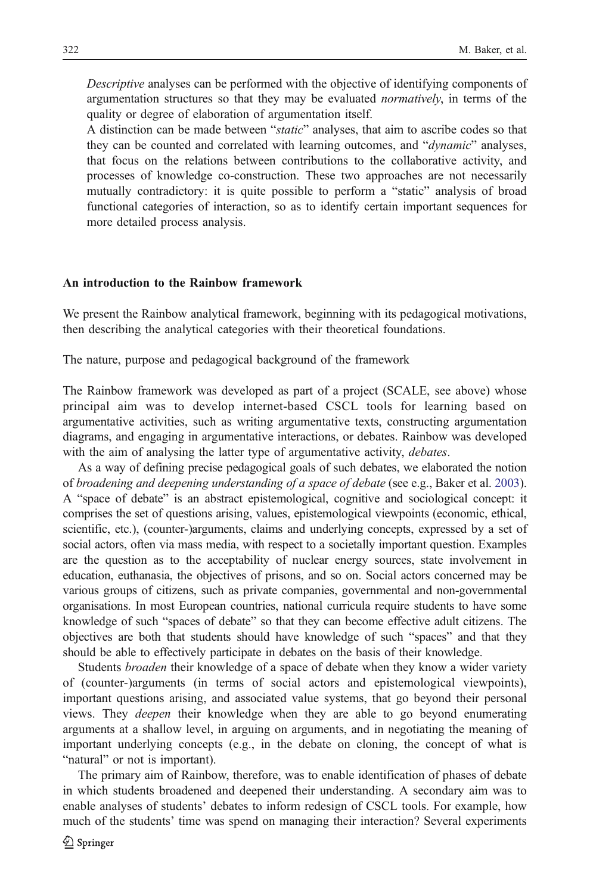Descriptive analyses can be performed with the objective of identifying components of argumentation structures so that they may be evaluated normatively, in terms of the quality or degree of elaboration of argumentation itself.

A distinction can be made between "static" analyses, that aim to ascribe codes so that they can be counted and correlated with learning outcomes, and "dynamic" analyses, that focus on the relations between contributions to the collaborative activity, and processes of knowledge co-construction. These two approaches are not necessarily mutually contradictory: it is quite possible to perform a "static" analysis of broad functional categories of interaction, so as to identify certain important sequences for more detailed process analysis.

#### An introduction to the Rainbow framework

We present the Rainbow analytical framework, beginning with its pedagogical motivations, then describing the analytical categories with their theoretical foundations.

The nature, purpose and pedagogical background of the framework

The Rainbow framework was developed as part of a project (SCALE, see above) whose principal aim was to develop internet-based CSCL tools for learning based on argumentative activities, such as writing argumentative texts, constructing argumentation diagrams, and engaging in argumentative interactions, or debates. Rainbow was developed with the aim of analysing the latter type of argumentative activity, debates.

As a way of defining precise pedagogical goals of such debates, we elaborated the notion of broadening and deepening understanding of a space of debate (see e.g., Baker et al. [2003](#page-40-0)). A "space of debate" is an abstract epistemological, cognitive and sociological concept: it comprises the set of questions arising, values, epistemological viewpoints (economic, ethical, scientific, etc.), (counter-)arguments, claims and underlying concepts, expressed by a set of social actors, often via mass media, with respect to a societally important question. Examples are the question as to the acceptability of nuclear energy sources, state involvement in education, euthanasia, the objectives of prisons, and so on. Social actors concerned may be various groups of citizens, such as private companies, governmental and non-governmental organisations. In most European countries, national curricula require students to have some knowledge of such "spaces of debate" so that they can become effective adult citizens. The objectives are both that students should have knowledge of such "spaces" and that they should be able to effectively participate in debates on the basis of their knowledge.

Students *broaden* their knowledge of a space of debate when they know a wider variety of (counter-)arguments (in terms of social actors and epistemological viewpoints), important questions arising, and associated value systems, that go beyond their personal views. They deepen their knowledge when they are able to go beyond enumerating arguments at a shallow level, in arguing on arguments, and in negotiating the meaning of important underlying concepts (e.g., in the debate on cloning, the concept of what is "natural" or not is important).

The primary aim of Rainbow, therefore, was to enable identification of phases of debate in which students broadened and deepened their understanding. A secondary aim was to enable analyses of students' debates to inform redesign of CSCL tools. For example, how much of the students' time was spend on managing their interaction? Several experiments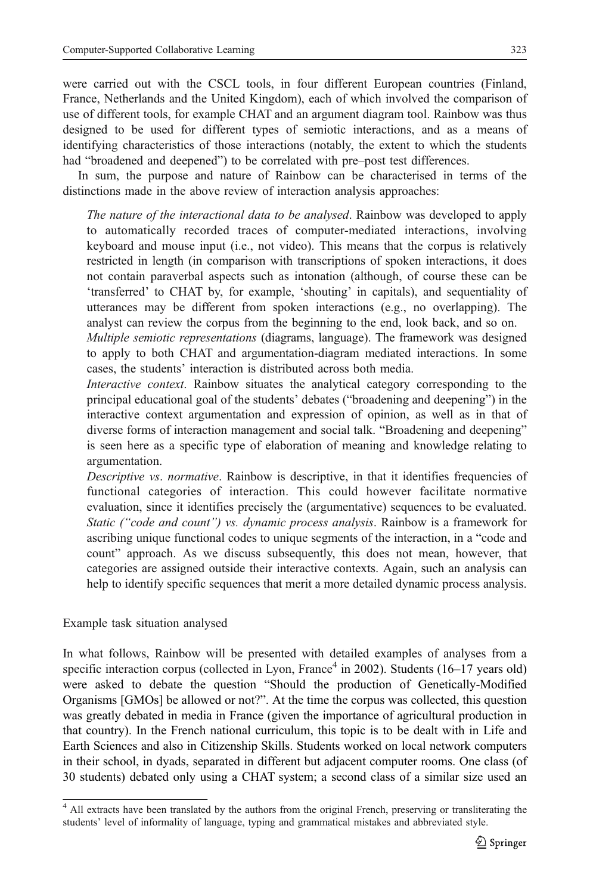were carried out with the CSCL tools, in four different European countries (Finland, France, Netherlands and the United Kingdom), each of which involved the comparison of use of different tools, for example CHAT and an argument diagram tool. Rainbow was thus designed to be used for different types of semiotic interactions, and as a means of identifying characteristics of those interactions (notably, the extent to which the students had "broadened and deepened") to be correlated with pre–post test differences.

In sum, the purpose and nature of Rainbow can be characterised in terms of the distinctions made in the above review of interaction analysis approaches:

The nature of the interactional data to be analysed. Rainbow was developed to apply to automatically recorded traces of computer-mediated interactions, involving keyboard and mouse input (i.e., not video). This means that the corpus is relatively restricted in length (in comparison with transcriptions of spoken interactions, it does not contain paraverbal aspects such as intonation (although, of course these can be 'transferred' to CHAT by, for example, 'shouting' in capitals), and sequentiality of utterances may be different from spoken interactions (e.g., no overlapping). The analyst can review the corpus from the beginning to the end, look back, and so on.

Multiple semiotic representations (diagrams, language). The framework was designed to apply to both CHAT and argumentation-diagram mediated interactions. In some cases, the students' interaction is distributed across both media.

Interactive context. Rainbow situates the analytical category corresponding to the principal educational goal of the students' debates ("broadening and deepening") in the interactive context argumentation and expression of opinion, as well as in that of diverse forms of interaction management and social talk. "Broadening and deepening" is seen here as a specific type of elaboration of meaning and knowledge relating to argumentation.

Descriptive vs. normative. Rainbow is descriptive, in that it identifies frequencies of functional categories of interaction. This could however facilitate normative evaluation, since it identifies precisely the (argumentative) sequences to be evaluated. Static ("code and count") vs. dynamic process analysis. Rainbow is a framework for ascribing unique functional codes to unique segments of the interaction, in a "code and count" approach. As we discuss subsequently, this does not mean, however, that categories are assigned outside their interactive contexts. Again, such an analysis can help to identify specific sequences that merit a more detailed dynamic process analysis.

## Example task situation analysed

In what follows, Rainbow will be presented with detailed examples of analyses from a specific interaction corpus (collected in Lyon, France<sup>4</sup> in 2002). Students  $(16-17 \text{ years old})$ were asked to debate the question "Should the production of Genetically-Modified Organisms [GMOs] be allowed or not?". At the time the corpus was collected, this question was greatly debated in media in France (given the importance of agricultural production in that country). In the French national curriculum, this topic is to be dealt with in Life and Earth Sciences and also in Citizenship Skills. Students worked on local network computers in their school, in dyads, separated in different but adjacent computer rooms. One class (of 30 students) debated only using a CHAT system; a second class of a similar size used an

<sup>&</sup>lt;sup>4</sup> All extracts have been translated by the authors from the original French, preserving or transliterating the students' level of informality of language, typing and grammatical mistakes and abbreviated style.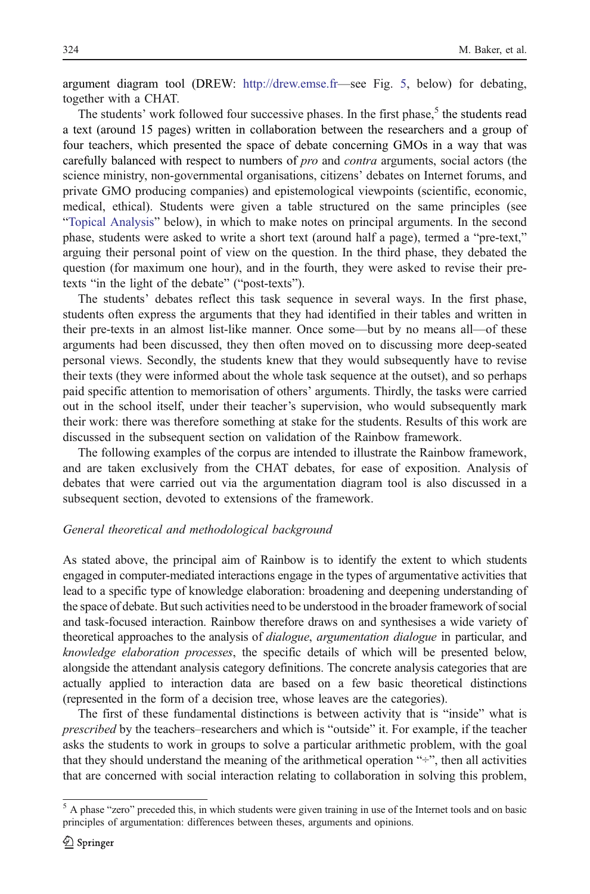argument diagram tool (DREW: <http://drew.emse.fr>—see Fig. [5](#page-30-0), below) for debating, together with a CHAT.

The students' work followed four successive phases. In the first phase, $5$  the students read a text (around 15 pages) written in collaboration between the researchers and a group of four teachers, which presented the space of debate concerning GMOs in a way that was carefully balanced with respect to numbers of *pro* and *contra* arguments, social actors (the science ministry, non-governmental organisations, citizens' debates on Internet forums, and private GMO producing companies) and epistemological viewpoints (scientific, economic, medical, ethical). Students were given a table structured on the same principles (see "[Topical Analysis](#page-31-0)" below), in which to make notes on principal arguments. In the second phase, students were asked to write a short text (around half a page), termed a "pre-text," arguing their personal point of view on the question. In the third phase, they debated the question (for maximum one hour), and in the fourth, they were asked to revise their pretexts "in the light of the debate" ("post-texts").

The students' debates reflect this task sequence in several ways. In the first phase, students often express the arguments that they had identified in their tables and written in their pre-texts in an almost list-like manner. Once some—but by no means all—of these arguments had been discussed, they then often moved on to discussing more deep-seated personal views. Secondly, the students knew that they would subsequently have to revise their texts (they were informed about the whole task sequence at the outset), and so perhaps paid specific attention to memorisation of others' arguments. Thirdly, the tasks were carried out in the school itself, under their teacher's supervision, who would subsequently mark their work: there was therefore something at stake for the students. Results of this work are discussed in the subsequent section on validation of the Rainbow framework.

The following examples of the corpus are intended to illustrate the Rainbow framework, and are taken exclusively from the CHAT debates, for ease of exposition. Analysis of debates that were carried out via the argumentation diagram tool is also discussed in a subsequent section, devoted to extensions of the framework.

### General theoretical and methodological background

As stated above, the principal aim of Rainbow is to identify the extent to which students engaged in computer-mediated interactions engage in the types of argumentative activities that lead to a specific type of knowledge elaboration: broadening and deepening understanding of the space of debate. But such activities need to be understood in the broader framework of social and task-focused interaction. Rainbow therefore draws on and synthesises a wide variety of theoretical approaches to the analysis of *dialogue*, argumentation dialogue in particular, and knowledge elaboration processes, the specific details of which will be presented below, alongside the attendant analysis category definitions. The concrete analysis categories that are actually applied to interaction data are based on a few basic theoretical distinctions (represented in the form of a decision tree, whose leaves are the categories).

The first of these fundamental distinctions is between activity that is "inside" what is prescribed by the teachers–researchers and which is "outside" it. For example, if the teacher asks the students to work in groups to solve a particular arithmetic problem, with the goal that they should understand the meaning of the arithmetical operation " $\div$ ", then all activities that are concerned with social interaction relating to collaboration in solving this problem,

<sup>&</sup>lt;sup>5</sup> A phase "zero" preceded this, in which students were given training in use of the Internet tools and on basic principles of argumentation: differences between theses, arguments and opinions.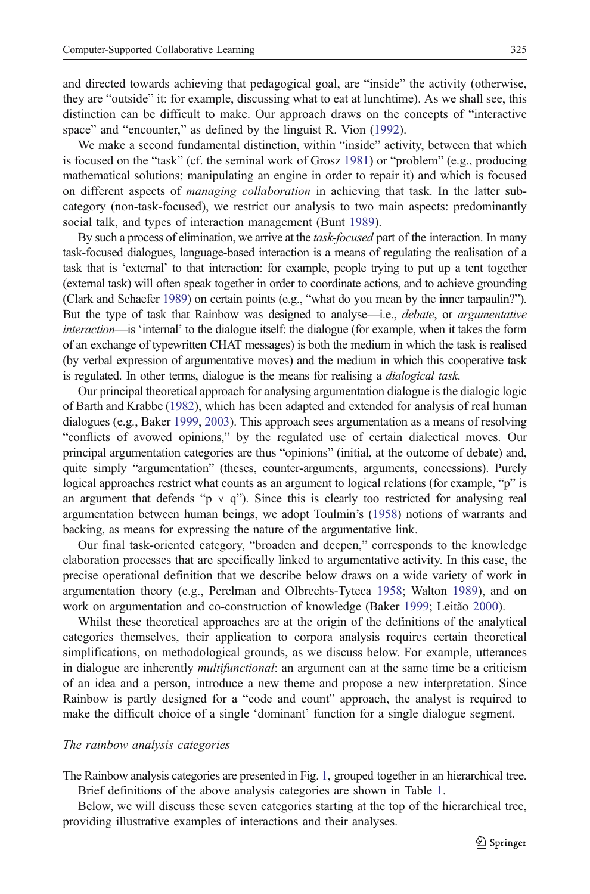and directed towards achieving that pedagogical goal, are "inside" the activity (otherwise, they are "outside" it: for example, discussing what to eat at lunchtime). As we shall see, this distinction can be difficult to make. Our approach draws on the concepts of "interactive space" and "encounter," as defined by the linguist R. Vion ([1992\)](#page-42-0).

We make a second fundamental distinction, within "inside" activity, between that which is focused on the "task" (cf. the seminal work of Grosz [1981](#page-40-0)) or "problem" (e.g., producing mathematical solutions; manipulating an engine in order to repair it) and which is focused on different aspects of *managing collaboration* in achieving that task. In the latter subcategory (non-task-focused), we restrict our analysis to two main aspects: predominantly social talk, and types of interaction management (Bunt [1989](#page-40-0)).

By such a process of elimination, we arrive at the task-focused part of the interaction. In many task-focused dialogues, language-based interaction is a means of regulating the realisation of a task that is 'external' to that interaction: for example, people trying to put up a tent together (external task) will often speak together in order to coordinate actions, and to achieve grounding (Clark and Schaefer [1989](#page-40-0)) on certain points (e.g., "what do you mean by the inner tarpaulin?"). But the type of task that Rainbow was designed to analyse—i.e., *debate*, or *argumentative* interaction—is 'internal' to the dialogue itself: the dialogue (for example, when it takes the form of an exchange of typewritten CHAT messages) is both the medium in which the task is realised (by verbal expression of argumentative moves) and the medium in which this cooperative task is regulated. In other terms, dialogue is the means for realising a *dialogical task*.

Our principal theoretical approach for analysing argumentation dialogue is the dialogic logic of Barth and Krabbe [\(1982\)](#page-40-0), which has been adapted and extended for analysis of real human dialogues (e.g., Baker [1999,](#page-39-0) [2003](#page-40-0)). This approach sees argumentation as a means of resolving "conflicts of avowed opinions," by the regulated use of certain dialectical moves. Our principal argumentation categories are thus "opinions" (initial, at the outcome of debate) and, quite simply "argumentation" (theses, counter-arguments, arguments, concessions). Purely logical approaches restrict what counts as an argument to logical relations (for example, "p" is an argument that defends "p  $\vee$  q"). Since this is clearly too restricted for analysing real argumentation between human beings, we adopt Toulmin's ([1958](#page-41-0)) notions of warrants and backing, as means for expressing the nature of the argumentative link.

Our final task-oriented category, "broaden and deepen," corresponds to the knowledge elaboration processes that are specifically linked to argumentative activity. In this case, the precise operational definition that we describe below draws on a wide variety of work in argumentation theory (e.g., Perelman and Olbrechts-Tyteca [1958;](#page-41-0) Walton [1989](#page-42-0)), and on work on argumentation and co-construction of knowledge (Baker [1999;](#page-39-0) Leitão [2000](#page-40-0)).

Whilst these theoretical approaches are at the origin of the definitions of the analytical categories themselves, their application to corpora analysis requires certain theoretical simplifications, on methodological grounds, as we discuss below. For example, utterances in dialogue are inherently *multifunctional*: an argument can at the same time be a criticism of an idea and a person, introduce a new theme and propose a new interpretation. Since Rainbow is partly designed for a "code and count" approach, the analyst is required to make the difficult choice of a single 'dominant' function for a single dialogue segment.

# The rainbow analysis categories

The Rainbow analysis categories are presented in Fig. [1](#page-11-0), grouped together in an hierarchical tree. Brief definitions of the above analysis categories are shown in Table [1.](#page-11-0)

Below, we will discuss these seven categories starting at the top of the hierarchical tree, providing illustrative examples of interactions and their analyses.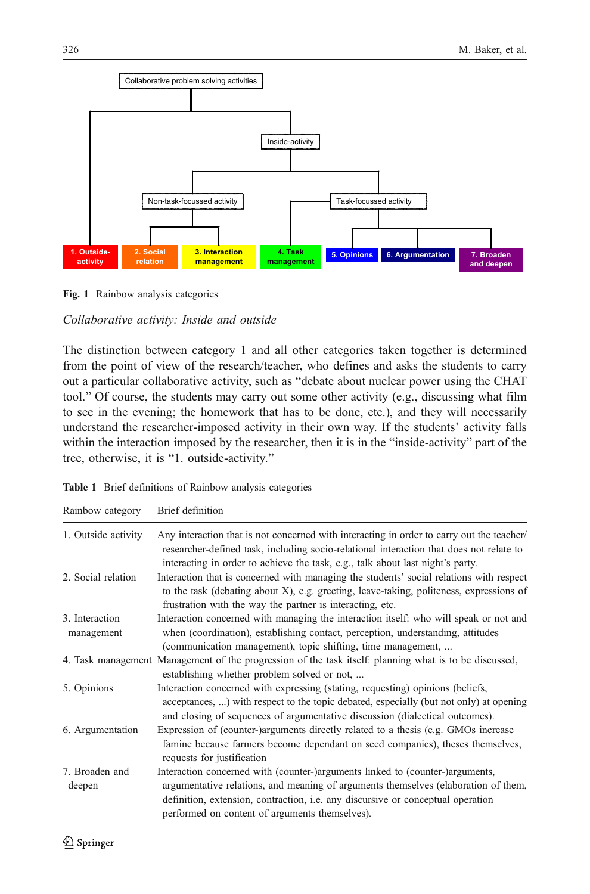<span id="page-11-0"></span>

Fig. 1 Rainbow analysis categories

# Collaborative activity: Inside and outside

The distinction between category 1 and all other categories taken together is determined from the point of view of the research/teacher, who defines and asks the students to carry out a particular collaborative activity, such as "debate about nuclear power using the CHAT tool." Of course, the students may carry out some other activity (e.g., discussing what film to see in the evening; the homework that has to be done, etc.), and they will necessarily understand the researcher-imposed activity in their own way. If the students' activity falls within the interaction imposed by the researcher, then it is in the "inside-activity" part of the tree, otherwise, it is "1. outside-activity."

|  |  | Table 1 Brief definitions of Rainbow analysis categories |  |  |  |  |
|--|--|----------------------------------------------------------|--|--|--|--|
|--|--|----------------------------------------------------------|--|--|--|--|

| Rainbow category             | Brief definition                                                                                                                                                                                                                                                                                                |
|------------------------------|-----------------------------------------------------------------------------------------------------------------------------------------------------------------------------------------------------------------------------------------------------------------------------------------------------------------|
| 1. Outside activity          | Any interaction that is not concerned with interacting in order to carry out the teacher/<br>researcher-defined task, including socio-relational interaction that does not relate to<br>interacting in order to achieve the task, e.g., talk about last night's party.                                          |
| 2. Social relation           | Interaction that is concerned with managing the students' social relations with respect<br>to the task (debating about X), e.g. greeting, leave-taking, politeness, expressions of<br>frustration with the way the partner is interacting, etc.                                                                 |
| 3. Interaction<br>management | Interaction concerned with managing the interaction itself: who will speak or not and<br>when (coordination), establishing contact, perception, understanding, attitudes<br>(communication management), topic shifting, time management,                                                                        |
|                              | 4. Task management Management of the progression of the task itself: planning what is to be discussed,<br>establishing whether problem solved or not,                                                                                                                                                           |
| 5. Opinions                  | Interaction concerned with expressing (stating, requesting) opinions (beliefs,<br>acceptances, ) with respect to the topic debated, especially (but not only) at opening<br>and closing of sequences of argumentative discussion (dialectical outcomes).                                                        |
| 6. Argumentation             | Expression of (counter-)arguments directly related to a thesis (e.g. GMOs increase<br>famine because farmers become dependant on seed companies), theses themselves,<br>requests for justification                                                                                                              |
| 7. Broaden and<br>deepen     | Interaction concerned with (counter-)arguments linked to (counter-)arguments,<br>argumentative relations, and meaning of arguments themselves (elaboration of them,<br>definition, extension, contraction, <i>i.e.</i> any discursive or conceptual operation<br>performed on content of arguments themselves). |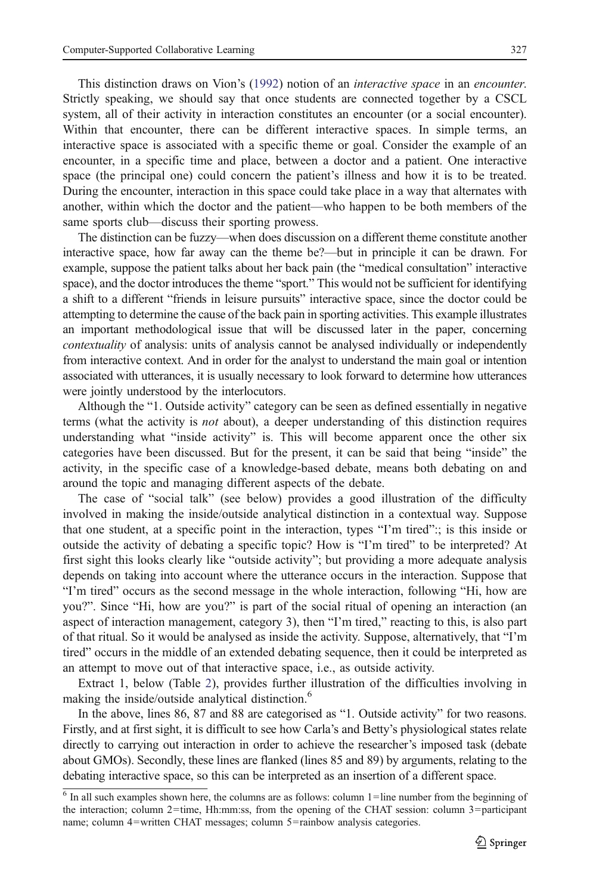This distinction draws on Vion's ([1992\)](#page-42-0) notion of an interactive space in an encounter. Strictly speaking, we should say that once students are connected together by a CSCL system, all of their activity in interaction constitutes an encounter (or a social encounter). Within that encounter, there can be different interactive spaces. In simple terms, an interactive space is associated with a specific theme or goal. Consider the example of an encounter, in a specific time and place, between a doctor and a patient. One interactive space (the principal one) could concern the patient's illness and how it is to be treated. During the encounter, interaction in this space could take place in a way that alternates with another, within which the doctor and the patient—who happen to be both members of the same sports club—discuss their sporting prowess.

The distinction can be fuzzy—when does discussion on a different theme constitute another interactive space, how far away can the theme be?—but in principle it can be drawn. For example, suppose the patient talks about her back pain (the "medical consultation" interactive space), and the doctor introduces the theme "sport." This would not be sufficient for identifying a shift to a different "friends in leisure pursuits" interactive space, since the doctor could be attempting to determine the cause of the back pain in sporting activities. This example illustrates an important methodological issue that will be discussed later in the paper, concerning contextuality of analysis: units of analysis cannot be analysed individually or independently from interactive context. And in order for the analyst to understand the main goal or intention associated with utterances, it is usually necessary to look forward to determine how utterances were jointly understood by the interlocutors.

Although the "1. Outside activity" category can be seen as defined essentially in negative terms (what the activity is not about), a deeper understanding of this distinction requires understanding what "inside activity" is. This will become apparent once the other six categories have been discussed. But for the present, it can be said that being "inside" the activity, in the specific case of a knowledge-based debate, means both debating on and around the topic and managing different aspects of the debate.

The case of "social talk" (see below) provides a good illustration of the difficulty involved in making the inside/outside analytical distinction in a contextual way. Suppose that one student, at a specific point in the interaction, types "I'm tired":; is this inside or outside the activity of debating a specific topic? How is "I'm tired" to be interpreted? At first sight this looks clearly like "outside activity"; but providing a more adequate analysis depends on taking into account where the utterance occurs in the interaction. Suppose that "I'm tired" occurs as the second message in the whole interaction, following "Hi, how are you?". Since "Hi, how are you?" is part of the social ritual of opening an interaction (an aspect of interaction management, category 3), then "I'm tired," reacting to this, is also part of that ritual. So it would be analysed as inside the activity. Suppose, alternatively, that "I'm tired" occurs in the middle of an extended debating sequence, then it could be interpreted as an attempt to move out of that interactive space, i.e., as outside activity.

Extract 1, below (Table [2\)](#page-13-0), provides further illustration of the difficulties involving in making the inside/outside analytical distinction.<sup>6</sup>

In the above, lines 86, 87 and 88 are categorised as "1. Outside activity" for two reasons. Firstly, and at first sight, it is difficult to see how Carla's and Betty's physiological states relate directly to carrying out interaction in order to achieve the researcher's imposed task (debate about GMOs). Secondly, these lines are flanked (lines 85 and 89) by arguments, relating to the debating interactive space, so this can be interpreted as an insertion of a different space.

 $6$  In all such examples shown here, the columns are as follows: column  $1 =$ line number from the beginning of the interaction; column 2=time, Hh:mm:ss, from the opening of the CHAT session: column 3=participant name; column 4=written CHAT messages; column 5=rainbow analysis categories.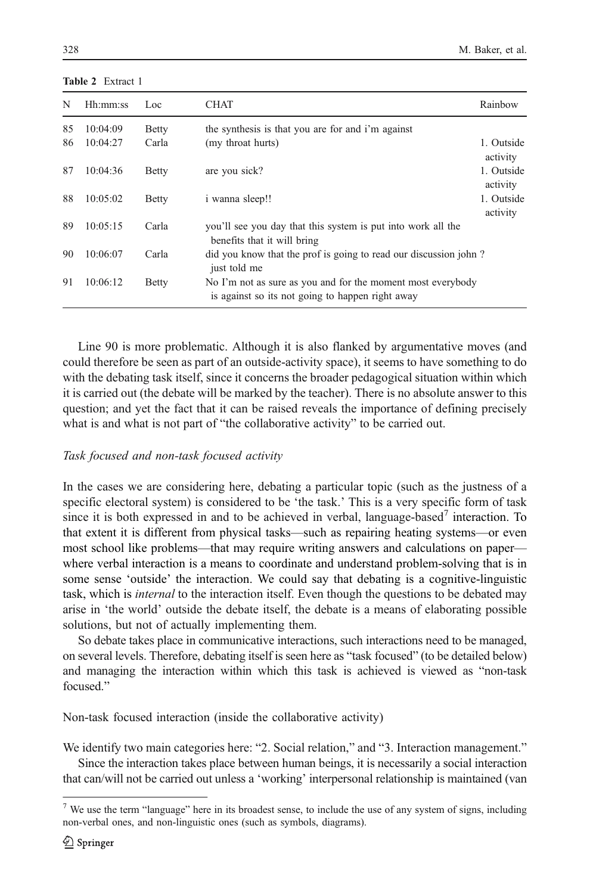| N  | Hh:mm:ss | Loc          | <b>CHAT</b>                                                                                                     | Rainbow                |
|----|----------|--------------|-----------------------------------------------------------------------------------------------------------------|------------------------|
| 85 | 10:04:09 | <b>Betty</b> | the synthesis is that you are for and i'm against                                                               |                        |
| 86 | 10:04:27 | Carla        | (my throat hurts)                                                                                               | 1. Outside<br>activity |
| 87 | 10:04:36 | <b>Betty</b> | are you sick?                                                                                                   | 1. Outside<br>activity |
| 88 | 10:05:02 | <b>Betty</b> | i wanna sleep!!                                                                                                 | 1. Outside<br>activity |
| 89 | 10:05:15 | Carla        | you'll see you day that this system is put into work all the<br>benefits that it will bring                     |                        |
| 90 | 10:06:07 | Carla        | did you know that the prof is going to read our discussion john?<br>just told me                                |                        |
| 91 | 10:06:12 | <b>Betty</b> | No I'm not as sure as you and for the moment most everybody<br>is against so its not going to happen right away |                        |

<span id="page-13-0"></span>Table 2 Extract 1

Line 90 is more problematic. Although it is also flanked by argumentative moves (and could therefore be seen as part of an outside-activity space), it seems to have something to do with the debating task itself, since it concerns the broader pedagogical situation within which it is carried out (the debate will be marked by the teacher). There is no absolute answer to this question; and yet the fact that it can be raised reveals the importance of defining precisely what is and what is not part of "the collaborative activity" to be carried out.

# Task focused and non-task focused activity

In the cases we are considering here, debating a particular topic (such as the justness of a specific electoral system) is considered to be 'the task.' This is a very specific form of task since it is both expressed in and to be achieved in verbal, language-based<sup>7</sup> interaction. To that extent it is different from physical tasks—such as repairing heating systems—or even most school like problems—that may require writing answers and calculations on paper where verbal interaction is a means to coordinate and understand problem-solving that is in some sense 'outside' the interaction. We could say that debating is a cognitive-linguistic task, which is internal to the interaction itself. Even though the questions to be debated may arise in 'the world' outside the debate itself, the debate is a means of elaborating possible solutions, but not of actually implementing them.

So debate takes place in communicative interactions, such interactions need to be managed, on several levels. Therefore, debating itself is seen here as "task focused" (to be detailed below) and managing the interaction within which this task is achieved is viewed as "non-task focused."

Non-task focused interaction (inside the collaborative activity)

We identify two main categories here: "2. Social relation," and "3. Interaction management." Since the interaction takes place between human beings, it is necessarily a social interaction that can/will not be carried out unless a 'working' interpersonal relationship is maintained (van

 $7$  We use the term "language" here in its broadest sense, to include the use of any system of signs, including non-verbal ones, and non-linguistic ones (such as symbols, diagrams).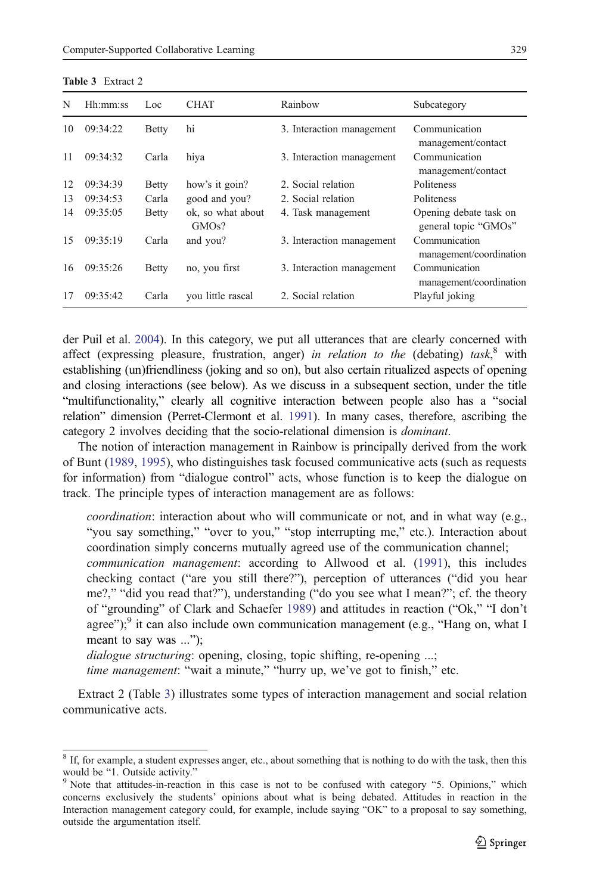| N  | Hh:mm:ss | Loc          | <b>CHAT</b>                | Rainbow                   | Subcategory                                    |
|----|----------|--------------|----------------------------|---------------------------|------------------------------------------------|
| 10 | 09:34:22 | <b>Betty</b> | hi                         | 3. Interaction management | Communication<br>management/contact            |
| 11 | 09:34:32 | Carla        | hiya                       | 3. Interaction management | Communication<br>management/contact            |
| 12 | 09:34:39 | Betty        | how's it goin?             | 2. Social relation        | Politeness                                     |
| 13 | 09:34:53 | Carla        | good and you?              | 2. Social relation        | Politeness                                     |
| 14 | 09:35:05 | Betty        | ok, so what about<br>GMOs? | 4. Task management        | Opening debate task on<br>general topic "GMOs" |
| 15 | 09:35:19 | Carla        | and you?                   | 3. Interaction management | Communication<br>management/coordination       |
| 16 | 09:35:26 | <b>Betty</b> | no, you first              | 3. Interaction management | Communication<br>management/coordination       |
| 17 | 09:35:42 | Carla        | you little rascal          | 2. Social relation        | Playful joking                                 |

Table 3 Extract 2

der Puil et al. [2004\)](#page-42-0). In this category, we put all utterances that are clearly concerned with affect (expressing pleasure, frustration, anger) in relation to the (debating) task,<sup>8</sup> with establishing (un)friendliness (joking and so on), but also certain ritualized aspects of opening and closing interactions (see below). As we discuss in a subsequent section, under the title "multifunctionality," clearly all cognitive interaction between people also has a "social relation" dimension (Perret-Clermont et al. [1991](#page-41-0)). In many cases, therefore, ascribing the category 2 involves deciding that the socio-relational dimension is dominant.

The notion of interaction management in Rainbow is principally derived from the work of Bunt [\(1989,](#page-40-0) [1995\)](#page-40-0), who distinguishes task focused communicative acts (such as requests for information) from "dialogue control" acts, whose function is to keep the dialogue on track. The principle types of interaction management are as follows:

coordination: interaction about who will communicate or not, and in what way (e.g., "you say something," "over to you," "stop interrupting me," etc.). Interaction about coordination simply concerns mutually agreed use of the communication channel;

communication management: according to Allwood et al. [\(1991](#page-39-0)), this includes checking contact ("are you still there?"), perception of utterances ("did you hear me?," "did you read that?"), understanding ("do you see what I mean?"; cf. the theory of "grounding" of Clark and Schaefer [1989](#page-40-0)) and attitudes in reaction ("Ok," "I don't agree"); $\frac{9}{3}$  it can also include own communication management (e.g., "Hang on, what I meant to say was ...");

dialogue structuring: opening, closing, topic shifting, re-opening ...;

time management: "wait a minute," "hurry up, we've got to finish," etc.

Extract 2 (Table 3) illustrates some types of interaction management and social relation communicative acts.

 $8$  If, for example, a student expresses anger, etc., about something that is nothing to do with the task, then this would be "1. Outside activity."<br><sup>9</sup> Note that attitudes-in-reaction in this case is not to be confused with category "5. Opinions," which

concerns exclusively the students' opinions about what is being debated. Attitudes in reaction in the Interaction management category could, for example, include saying "OK" to a proposal to say something, outside the argumentation itself.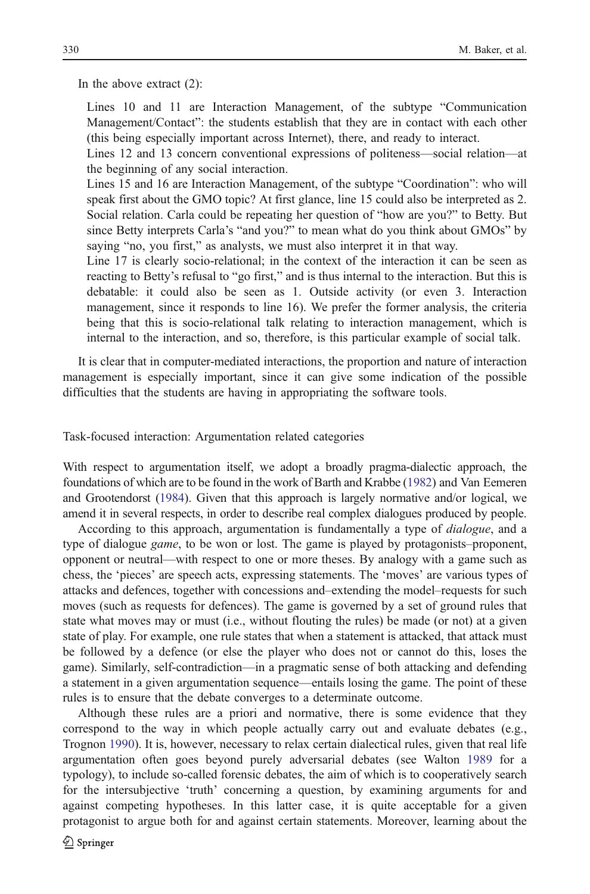In the above extract (2):

Lines 10 and 11 are Interaction Management, of the subtype "Communication Management/Contact": the students establish that they are in contact with each other (this being especially important across Internet), there, and ready to interact.

Lines 12 and 13 concern conventional expressions of politeness—social relation—at the beginning of any social interaction.

Lines 15 and 16 are Interaction Management, of the subtype "Coordination": who will speak first about the GMO topic? At first glance, line 15 could also be interpreted as 2. Social relation. Carla could be repeating her question of "how are you?" to Betty. But since Betty interprets Carla's "and you?" to mean what do you think about GMOs" by saying "no, you first," as analysts, we must also interpret it in that way.

Line 17 is clearly socio-relational; in the context of the interaction it can be seen as reacting to Betty's refusal to "go first," and is thus internal to the interaction. But this is debatable: it could also be seen as 1. Outside activity (or even 3. Interaction management, since it responds to line 16). We prefer the former analysis, the criteria being that this is socio-relational talk relating to interaction management, which is internal to the interaction, and so, therefore, is this particular example of social talk.

It is clear that in computer-mediated interactions, the proportion and nature of interaction management is especially important, since it can give some indication of the possible difficulties that the students are having in appropriating the software tools.

Task-focused interaction: Argumentation related categories

With respect to argumentation itself, we adopt a broadly pragma-dialectic approach, the foundations of which are to be found in the work of Barth and Krabbe [\(1982\)](#page-40-0) and Van Eemeren and Grootendorst ([1984](#page-42-0)). Given that this approach is largely normative and/or logical, we amend it in several respects, in order to describe real complex dialogues produced by people.

According to this approach, argumentation is fundamentally a type of *dialogue*, and a type of dialogue *game*, to be won or lost. The game is played by protagonists–proponent, opponent or neutral—with respect to one or more theses. By analogy with a game such as chess, the 'pieces' are speech acts, expressing statements. The 'moves' are various types of attacks and defences, together with concessions and–extending the model–requests for such moves (such as requests for defences). The game is governed by a set of ground rules that state what moves may or must (i.e., without flouting the rules) be made (or not) at a given state of play. For example, one rule states that when a statement is attacked, that attack must be followed by a defence (or else the player who does not or cannot do this, loses the game). Similarly, self-contradiction—in a pragmatic sense of both attacking and defending a statement in a given argumentation sequence—entails losing the game. The point of these rules is to ensure that the debate converges to a determinate outcome.

Although these rules are a priori and normative, there is some evidence that they correspond to the way in which people actually carry out and evaluate debates (e.g., Trognon [1990](#page-41-0)). It is, however, necessary to relax certain dialectical rules, given that real life argumentation often goes beyond purely adversarial debates (see Walton [1989](#page-42-0) for a typology), to include so-called forensic debates, the aim of which is to cooperatively search for the intersubjective 'truth' concerning a question, by examining arguments for and against competing hypotheses. In this latter case, it is quite acceptable for a given protagonist to argue both for and against certain statements. Moreover, learning about the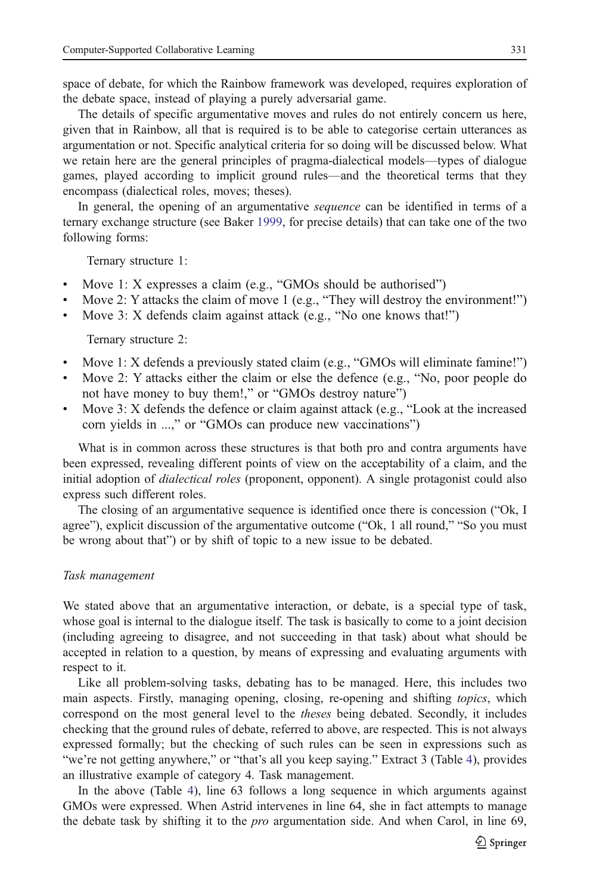the debate space, instead of playing a purely adversarial game. The details of specific argumentative moves and rules do not entirely concern us here, given that in Rainbow, all that is required is to be able to categorise certain utterances as argumentation or not. Specific analytical criteria for so doing will be discussed below. What we retain here are the general principles of pragma-dialectical models—types of dialogue games, played according to implicit ground rules—and the theoretical terms that they encompass (dialectical roles, moves; theses).

In general, the opening of an argumentative *sequence* can be identified in terms of a ternary exchange structure (see Baker [1999](#page-39-0), for precise details) that can take one of the two following forms:

Ternary structure 1:

- Move 1: X expresses a claim (e.g., "GMOs should be authorised")
- Move 2: Y attacks the claim of move 1 (e.g., "They will destroy the environment!")
- Move 3: X defends claim against attack (e.g., "No one knows that!")

Ternary structure 2:

- Move 1: X defends a previously stated claim (e.g., "GMOs will eliminate famine!")
- & Move 2: Y attacks either the claim or else the defence (e.g., "No, poor people do not have money to buy them!," or "GMOs destroy nature")
- Move 3: X defends the defence or claim against attack (e.g., "Look at the increased corn yields in ...," or "GMOs can produce new vaccinations")

What is in common across these structures is that both pro and contra arguments have been expressed, revealing different points of view on the acceptability of a claim, and the initial adoption of *dialectical roles* (proponent, opponent). A single protagonist could also express such different roles.

The closing of an argumentative sequence is identified once there is concession ("Ok, I agree"), explicit discussion of the argumentative outcome ("Ok, 1 all round," "So you must be wrong about that") or by shift of topic to a new issue to be debated.

#### Task management

We stated above that an argumentative interaction, or debate, is a special type of task, whose goal is internal to the dialogue itself. The task is basically to come to a joint decision (including agreeing to disagree, and not succeeding in that task) about what should be accepted in relation to a question, by means of expressing and evaluating arguments with respect to it.

Like all problem-solving tasks, debating has to be managed. Here, this includes two main aspects. Firstly, managing opening, closing, re-opening and shifting topics, which correspond on the most general level to the theses being debated. Secondly, it includes checking that the ground rules of debate, referred to above, are respected. This is not always expressed formally; but the checking of such rules can be seen in expressions such as "we're not getting anywhere," or "that's all you keep saying." Extract 3 (Table [4](#page-17-0)), provides an illustrative example of category 4. Task management.

In the above (Table [4](#page-17-0)), line 63 follows a long sequence in which arguments against GMOs were expressed. When Astrid intervenes in line 64, she in fact attempts to manage the debate task by shifting it to the pro argumentation side. And when Carol, in line 69,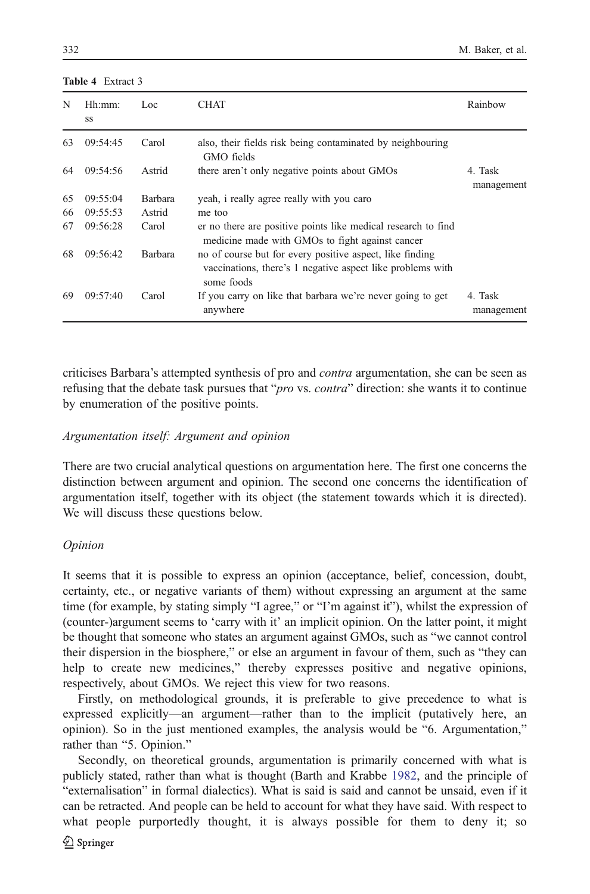<span id="page-17-0"></span>

|  | <b>Table 4</b> Extract 3 |  |
|--|--------------------------|--|
|  |                          |  |

| N  | Hh:mm:<br>SS | Loc            | <b>CHAT</b>                                                                                                                          | Rainbow               |
|----|--------------|----------------|--------------------------------------------------------------------------------------------------------------------------------------|-----------------------|
| 63 | 09:54:45     | Carol          | also, their fields risk being contaminated by neighbouring<br>GMO fields                                                             |                       |
| 64 | 09:54:56     | Astrid         | there aren't only negative points about GMOs                                                                                         | 4. Task<br>management |
| 65 | 09:55:04     | <b>Barbara</b> | yeah, i really agree really with you caro                                                                                            |                       |
| 66 | 09:55:53     | Astrid         | me too                                                                                                                               |                       |
| 67 | 09:56:28     | Carol          | er no there are positive points like medical research to find<br>medicine made with GMOs to fight against cancer                     |                       |
| 68 | 09:56:42     | <b>Barbara</b> | no of course but for every positive aspect, like finding<br>vaccinations, there's 1 negative aspect like problems with<br>some foods |                       |
| 69 | 09:57:40     | Carol          | If you carry on like that barbara we're never going to get<br>anywhere                                                               | 4. Task<br>management |

criticises Barbara's attempted synthesis of pro and *contra* argumentation, she can be seen as refusing that the debate task pursues that "*pro* vs. *contra*" direction: she wants it to continue by enumeration of the positive points.

## Argumentation itself: Argument and opinion

There are two crucial analytical questions on argumentation here. The first one concerns the distinction between argument and opinion. The second one concerns the identification of argumentation itself, together with its object (the statement towards which it is directed). We will discuss these questions below.

# Opinion

It seems that it is possible to express an opinion (acceptance, belief, concession, doubt, certainty, etc., or negative variants of them) without expressing an argument at the same time (for example, by stating simply "I agree," or "I'm against it"), whilst the expression of (counter-)argument seems to 'carry with it' an implicit opinion. On the latter point, it might be thought that someone who states an argument against GMOs, such as "we cannot control their dispersion in the biosphere," or else an argument in favour of them, such as "they can help to create new medicines," thereby expresses positive and negative opinions, respectively, about GMOs. We reject this view for two reasons.

Firstly, on methodological grounds, it is preferable to give precedence to what is expressed explicitly—an argument—rather than to the implicit (putatively here, an opinion). So in the just mentioned examples, the analysis would be "6. Argumentation," rather than "5. Opinion."

Secondly, on theoretical grounds, argumentation is primarily concerned with what is publicly stated, rather than what is thought (Barth and Krabbe [1982,](#page-40-0) and the principle of "externalisation" in formal dialectics). What is said is said and cannot be unsaid, even if it can be retracted. And people can be held to account for what they have said. With respect to what people purportedly thought, it is always possible for them to deny it; so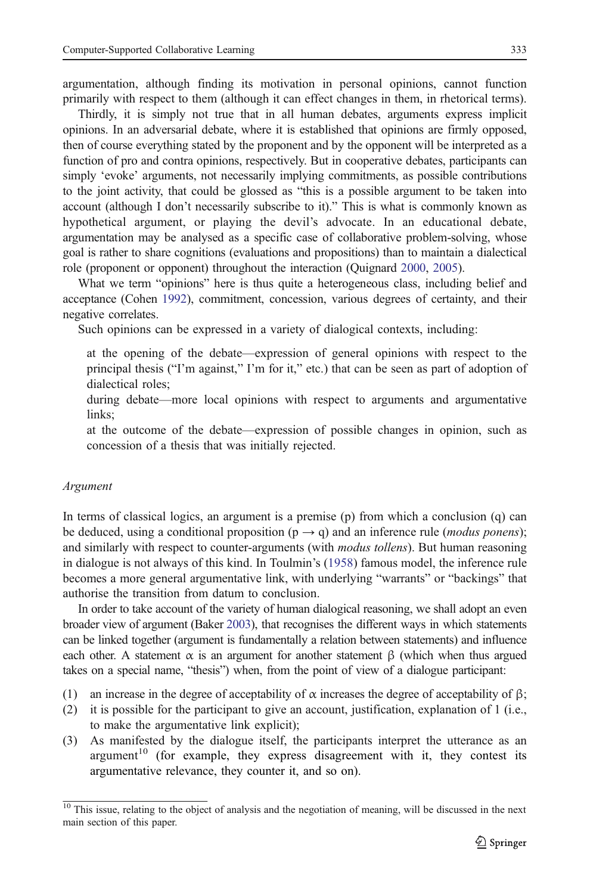argumentation, although finding its motivation in personal opinions, cannot function primarily with respect to them (although it can effect changes in them, in rhetorical terms).

Thirdly, it is simply not true that in all human debates, arguments express implicit opinions. In an adversarial debate, where it is established that opinions are firmly opposed, then of course everything stated by the proponent and by the opponent will be interpreted as a function of pro and contra opinions, respectively. But in cooperative debates, participants can simply 'evoke' arguments, not necessarily implying commitments, as possible contributions to the joint activity, that could be glossed as "this is a possible argument to be taken into account (although I don't necessarily subscribe to it)." This is what is commonly known as hypothetical argument, or playing the devil's advocate. In an educational debate, argumentation may be analysed as a specific case of collaborative problem-solving, whose goal is rather to share cognitions (evaluations and propositions) than to maintain a dialectical role (proponent or opponent) throughout the interaction (Quignard [2000](#page-41-0), [2005](#page-41-0)).

What we term "opinions" here is thus quite a heterogeneous class, including belief and acceptance (Cohen [1992](#page-40-0)), commitment, concession, various degrees of certainty, and their negative correlates.

Such opinions can be expressed in a variety of dialogical contexts, including:

at the opening of the debate—expression of general opinions with respect to the principal thesis ("I'm against," I'm for it," etc.) that can be seen as part of adoption of dialectical roles;

during debate—more local opinions with respect to arguments and argumentative links;

at the outcome of the debate—expression of possible changes in opinion, such as concession of a thesis that was initially rejected.

# Argument

In terms of classical logics, an argument is a premise (p) from which a conclusion (q) can be deduced, using a conditional proposition ( $p \rightarrow q$ ) and an inference rule (*modus ponens*); and similarly with respect to counter-arguments (with *modus tollens*). But human reasoning in dialogue is not always of this kind. In Toulmin's [\(1958](#page-41-0)) famous model, the inference rule becomes a more general argumentative link, with underlying "warrants" or "backings" that authorise the transition from datum to conclusion.

In order to take account of the variety of human dialogical reasoning, we shall adopt an even broader view of argument (Baker [2003\)](#page-40-0), that recognises the different ways in which statements can be linked together (argument is fundamentally a relation between statements) and influence each other. A statement  $\alpha$  is an argument for another statement  $\beta$  (which when thus argued takes on a special name, "thesis") when, from the point of view of a dialogue participant:

- (1) an increase in the degree of acceptability of  $\alpha$  increases the degree of acceptability of  $\beta$ ;
- (2) it is possible for the participant to give an account, justification, explanation of 1 (i.e., to make the argumentative link explicit);
- (3) As manifested by the dialogue itself, the participants interpret the utterance as an argument<sup>10</sup> (for example, they express disagreement with it, they contest its argumentative relevance, they counter it, and so on).

<sup>&</sup>lt;sup>10</sup> This issue, relating to the object of analysis and the negotiation of meaning, will be discussed in the next main section of this paper.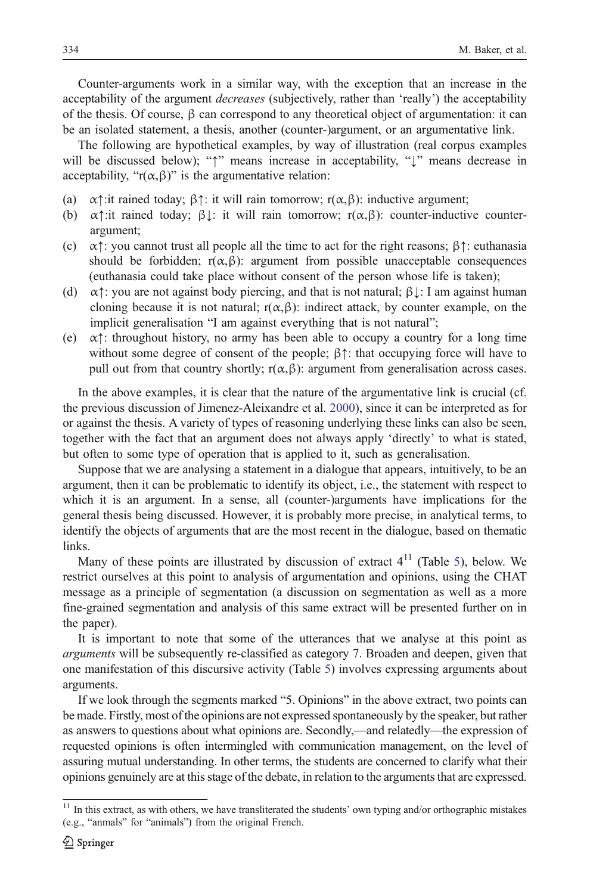Counter-arguments work in a similar way, with the exception that an increase in the acceptability of the argument *decreases* (subjectively, rather than 'really') the acceptability of the thesis. Of course, β can correspond to any theoretical object of argumentation: it can be an isolated statement, a thesis, another (counter-)argument, or an argumentative link.

The following are hypothetical examples, by way of illustration (real corpus examples will be discussed below); "↑" means increase in acceptability, "↓" means decrease in acceptability, " $r(\alpha, \beta)$ " is the argumentative relation:

- (a)  $\alpha$ †:it rained today;  $\beta$ †: it will rain tomorrow; r( $\alpha$ , $\beta$ ): inductive argument;
- (b)  $\alpha$ <sup> $\uparrow$ </sup>:it rained today;  $\beta$ <sub>+</sub>: it will rain tomorrow; r( $\alpha$ , $\beta$ ): counter-inductive counterargument;
- (c)  $\alpha$ †: you cannot trust all people all the time to act for the right reasons;  $\beta$ †: euthanasia should be forbidden;  $r(\alpha, \beta)$ : argument from possible unacceptable consequences (euthanasia could take place without consent of the person whose life is taken);
- (d)  $\alpha$ †: you are not against body piercing, and that is not natural;  $\beta \downarrow$ : I am against human cloning because it is not natural;  $r(\alpha, \beta)$ : indirect attack, by counter example, on the implicit generalisation "I am against everything that is not natural";
- (e)  $\alpha$ <sup> $\uparrow$ </sup>: throughout history, no army has been able to occupy a country for a long time without some degree of consent of the people;  $\beta \uparrow$ : that occupying force will have to pull out from that country shortly;  $r(α, β)$ : argument from generalisation across cases.

In the above examples, it is clear that the nature of the argumentative link is crucial (cf. the previous discussion of Jimenez-Aleixandre et al. [2000\)](#page-40-0), since it can be interpreted as for or against the thesis. A variety of types of reasoning underlying these links can also be seen, together with the fact that an argument does not always apply 'directly' to what is stated, but often to some type of operation that is applied to it, such as generalisation.

Suppose that we are analysing a statement in a dialogue that appears, intuitively, to be an argument, then it can be problematic to identify its object, i.e., the statement with respect to which it is an argument. In a sense, all (counter-)arguments have implications for the general thesis being discussed. However, it is probably more precise, in analytical terms, to identify the objects of arguments that are the most recent in the dialogue, based on thematic links.

Many of these points are illustrated by discussion of extract  $4<sup>11</sup>$  (Table [5](#page-20-0)), below. We restrict ourselves at this point to analysis of argumentation and opinions, using the CHAT message as a principle of segmentation (a discussion on segmentation as well as a more fine-grained segmentation and analysis of this same extract will be presented further on in the paper).

It is important to note that some of the utterances that we analyse at this point as arguments will be subsequently re-classified as category 7. Broaden and deepen, given that one manifestation of this discursive activity (Table [5\)](#page-20-0) involves expressing arguments about arguments.

If we look through the segments marked "5. Opinions" in the above extract, two points can be made. Firstly, most of the opinions are not expressed spontaneously by the speaker, but rather as answers to questions about what opinions are. Secondly,—and relatedly—the expression of requested opinions is often intermingled with communication management, on the level of assuring mutual understanding. In other terms, the students are concerned to clarify what their opinions genuinely are at this stage of the debate, in relation to the arguments that are expressed.

 $11$  In this extract, as with others, we have transliterated the students' own typing and/or orthographic mistakes (e.g., "anmals" for "animals") from the original French.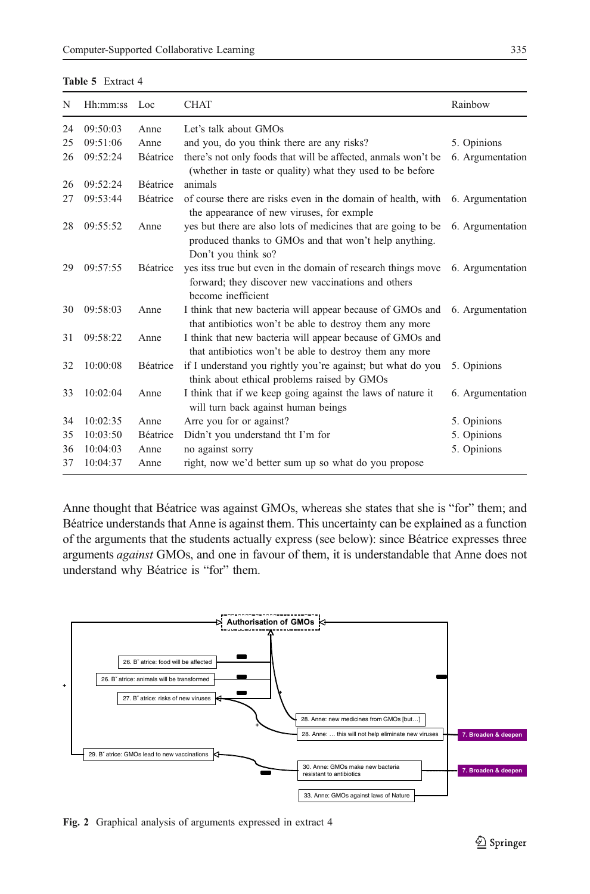<span id="page-20-0"></span>

| Table 5 Extract 4 |  |
|-------------------|--|
|-------------------|--|

| N  | Hh:mm:ss | Loc             | <b>CHAT</b>                                                                                                                                   | Rainbow          |
|----|----------|-----------------|-----------------------------------------------------------------------------------------------------------------------------------------------|------------------|
| 24 | 09:50:03 | Anne            | Let's talk about GMOs                                                                                                                         |                  |
| 25 | 09:51:06 | Anne            | and you, do you think there are any risks?                                                                                                    | 5. Opinions      |
| 26 | 09:52:24 | <b>Béatrice</b> | there's not only foods that will be affected, anmals won't be<br>(whether in taste or quality) what they used to be before                    | 6. Argumentation |
| 26 | 09:52:24 | <b>Béatrice</b> | animals                                                                                                                                       |                  |
| 27 | 09:53:44 | <b>Béatrice</b> | of course there are risks even in the domain of health, with<br>the appearance of new viruses, for exmple                                     | 6. Argumentation |
| 28 | 09:55:52 | Anne            | yes but there are also lots of medicines that are going to be<br>produced thanks to GMOs and that won't help anything.<br>Don't you think so? | 6. Argumentation |
| 29 | 09:57:55 | Béatrice        | yes itss true but even in the domain of research things move<br>forward; they discover new vaccinations and others<br>become inefficient      | 6. Argumentation |
| 30 | 09:58:03 | Anne            | I think that new bacteria will appear because of GMOs and<br>that antibiotics won't be able to destroy them any more                          | 6. Argumentation |
| 31 | 09:58:22 | Anne            | I think that new bacteria will appear because of GMOs and<br>that antibiotics won't be able to destroy them any more                          |                  |
| 32 | 10:00:08 | Béatrice        | if I understand you rightly you're against; but what do you<br>think about ethical problems raised by GMOs                                    | 5. Opinions      |
| 33 | 10:02:04 | Anne            | I think that if we keep going against the laws of nature it<br>will turn back against human beings                                            | 6. Argumentation |
| 34 | 10:02:35 | Anne            | Arre you for or against?                                                                                                                      | 5. Opinions      |
| 35 | 10:03:50 | <b>Béatrice</b> | Didn't you understand tht I'm for                                                                                                             | 5. Opinions      |
| 36 | 10:04:03 | Anne            | no against sorry                                                                                                                              | 5. Opinions      |
| 37 | 10:04:37 | Anne            | right, now we'd better sum up so what do you propose                                                                                          |                  |

Anne thought that Béatrice was against GMOs, whereas she states that she is "for" them; and Béatrice understands that Anne is against them. This uncertainty can be explained as a function of the arguments that the students actually express (see below): since Béatrice expresses three arguments against GMOs, and one in favour of them, it is understandable that Anne does not understand why Béatrice is "for" them.



Fig. 2 Graphical analysis of arguments expressed in extract 4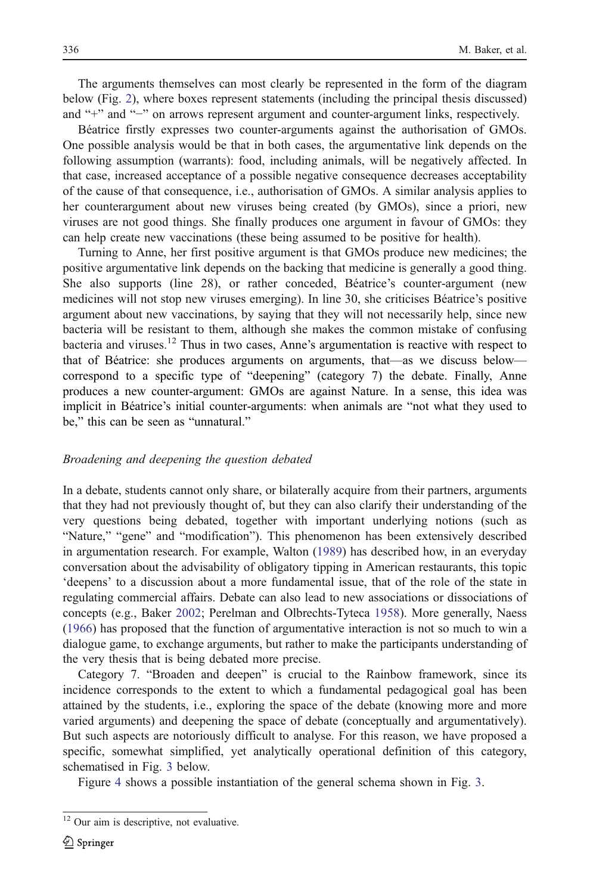The arguments themselves can most clearly be represented in the form of the diagram below (Fig. [2](#page-20-0)), where boxes represent statements (including the principal thesis discussed) and "+" and "−" on arrows represent argument and counter-argument links, respectively.

Béatrice firstly expresses two counter-arguments against the authorisation of GMOs. One possible analysis would be that in both cases, the argumentative link depends on the following assumption (warrants): food, including animals, will be negatively affected. In that case, increased acceptance of a possible negative consequence decreases acceptability of the cause of that consequence, i.e., authorisation of GMOs. A similar analysis applies to her counterargument about new viruses being created (by GMOs), since a priori, new viruses are not good things. She finally produces one argument in favour of GMOs: they can help create new vaccinations (these being assumed to be positive for health).

Turning to Anne, her first positive argument is that GMOs produce new medicines; the positive argumentative link depends on the backing that medicine is generally a good thing. She also supports (line 28), or rather conceded, Béatrice's counter-argument (new medicines will not stop new viruses emerging). In line 30, she criticises Béatrice's positive argument about new vaccinations, by saying that they will not necessarily help, since new bacteria will be resistant to them, although she makes the common mistake of confusing bacteria and viruses.<sup>12</sup> Thus in two cases, Anne's argumentation is reactive with respect to that of Béatrice: she produces arguments on arguments, that—as we discuss below correspond to a specific type of "deepening" (category 7) the debate. Finally, Anne produces a new counter-argument: GMOs are against Nature. In a sense, this idea was implicit in Béatrice's initial counter-arguments: when animals are "not what they used to be," this can be seen as "unnatural."

# Broadening and deepening the question debated

In a debate, students cannot only share, or bilaterally acquire from their partners, arguments that they had not previously thought of, but they can also clarify their understanding of the very questions being debated, together with important underlying notions (such as "Nature," "gene" and "modification"). This phenomenon has been extensively described in argumentation research. For example, Walton [\(1989](#page-42-0)) has described how, in an everyday conversation about the advisability of obligatory tipping in American restaurants, this topic 'deepens' to a discussion about a more fundamental issue, that of the role of the state in regulating commercial affairs. Debate can also lead to new associations or dissociations of concepts (e.g., Baker [2002;](#page-40-0) Perelman and Olbrechts-Tyteca [1958\)](#page-41-0). More generally, Naess ([1966\)](#page-41-0) has proposed that the function of argumentative interaction is not so much to win a dialogue game, to exchange arguments, but rather to make the participants understanding of the very thesis that is being debated more precise.

Category 7. "Broaden and deepen" is crucial to the Rainbow framework, since its incidence corresponds to the extent to which a fundamental pedagogical goal has been attained by the students, i.e., exploring the space of the debate (knowing more and more varied arguments) and deepening the space of debate (conceptually and argumentatively). But such aspects are notoriously difficult to analyse. For this reason, we have proposed a specific, somewhat simplified, yet analytically operational definition of this category, schematised in Fig. [3](#page-22-0) below.

Figure [4](#page-22-0) shows a possible instantiation of the general schema shown in Fig. [3.](#page-22-0)

<sup>&</sup>lt;sup>12</sup> Our aim is descriptive, not evaluative.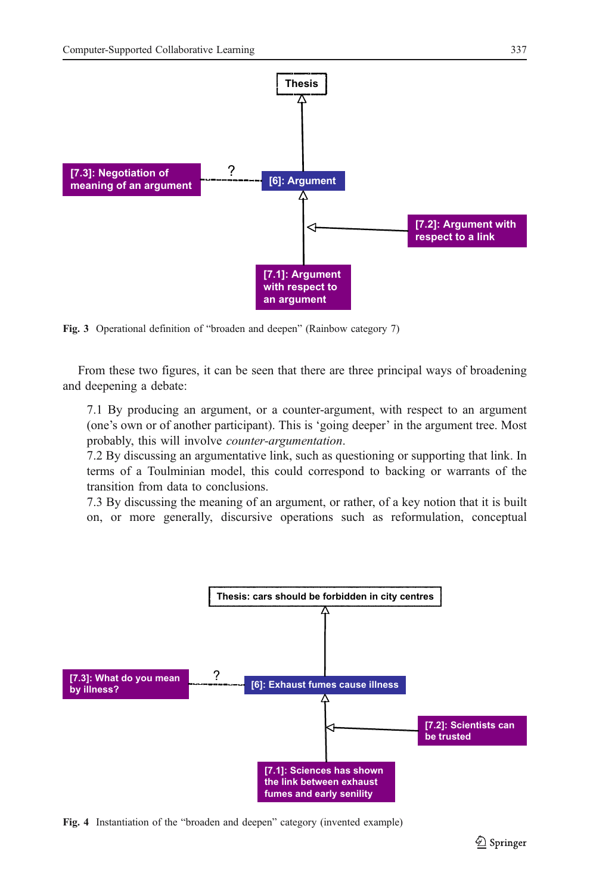<span id="page-22-0"></span>

Fig. 3 Operational definition of "broaden and deepen" (Rainbow category 7)

From these two figures, it can be seen that there are three principal ways of broadening and deepening a debate:

7.1 By producing an argument, or a counter-argument, with respect to an argument (one's own or of another participant). This is 'going deeper' in the argument tree. Most probably, this will involve counter-argumentation.

7.2 By discussing an argumentative link, such as questioning or supporting that link. In terms of a Toulminian model, this could correspond to backing or warrants of the transition from data to conclusions.

7.3 By discussing the meaning of an argument, or rather, of a key notion that it is built on, or more generally, discursive operations such as reformulation, conceptual



Fig. 4 Instantiation of the "broaden and deepen" category (invented example)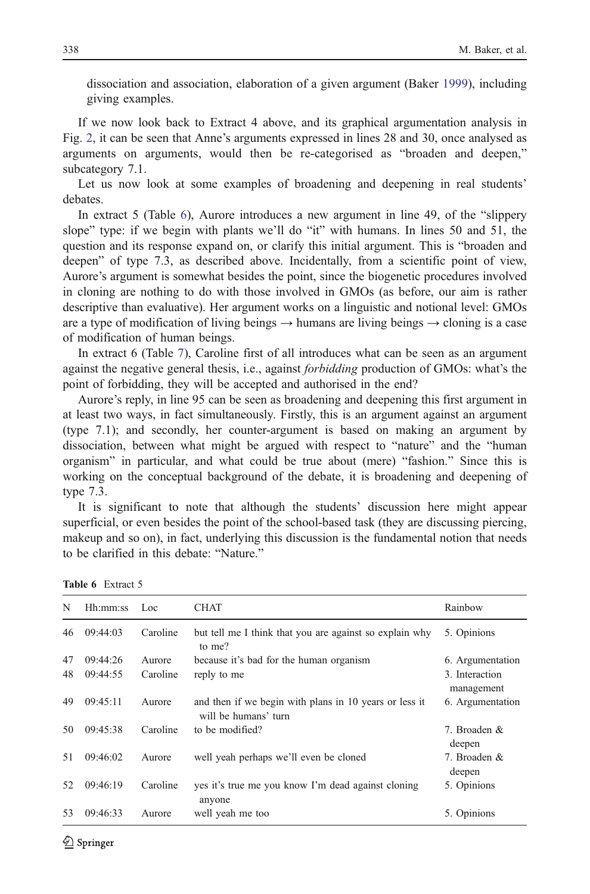dissociation and association, elaboration of a given argument (Baker [1999\)](#page-39-0), including giving examples.

If we now look back to Extract 4 above, and its graphical argumentation analysis in Fig. [2](#page-20-0), it can be seen that Anne's arguments expressed in lines 28 and 30, once analysed as arguments on arguments, would then be re-categorised as "broaden and deepen," subcategory 7.1.

Let us now look at some examples of broadening and deepening in real students' debates.

In extract 5 (Table 6), Aurore introduces a new argument in line 49, of the "slippery slope" type: if we begin with plants we'll do "it" with humans. In lines 50 and 51, the question and its response expand on, or clarify this initial argument. This is "broaden and deepen" of type 7.3, as described above. Incidentally, from a scientific point of view, Aurore's argument is somewhat besides the point, since the biogenetic procedures involved in cloning are nothing to do with those involved in GMOs (as before, our aim is rather descriptive than evaluative). Her argument works on a linguistic and notional level: GMOs are a type of modification of living beings  $\rightarrow$  humans are living beings  $\rightarrow$  cloning is a case of modification of human beings.

In extract 6 (Table [7](#page-24-0)), Caroline first of all introduces what can be seen as an argument against the negative general thesis, i.e., against *forbidding* production of GMOs: what's the point of forbidding, they will be accepted and authorised in the end?

Aurore's reply, in line 95 can be seen as broadening and deepening this first argument in at least two ways, in fact simultaneously. Firstly, this is an argument against an argument (type 7.1); and secondly, her counter-argument is based on making an argument by dissociation, between what might be argued with respect to "nature" and the "human organism" in particular, and what could be true about (mere) "fashion." Since this is working on the conceptual background of the debate, it is broadening and deepening of type 7.3.

It is significant to note that although the students' discussion here might appear superficial, or even besides the point of the school-based task (they are discussing piercing, makeup and so on), in fact, underlying this discussion is the fundamental notion that needs to be clarified in this debate: "Nature."

| N  | Hh:mm:ss | Loc      | CHAT                                                                           | Rainbow                      |
|----|----------|----------|--------------------------------------------------------------------------------|------------------------------|
| 46 | 09:44:03 | Caroline | but tell me I think that you are against so explain why<br>to me?              | 5. Opinions                  |
| 47 | 09:44:26 | Aurore   | because it's bad for the human organism                                        | 6. Argumentation             |
| 48 | 09:44:55 | Caroline | reply to me                                                                    | 3. Interaction<br>management |
| 49 | 09:45:11 | Aurore   | and then if we begin with plans in 10 years or less it<br>will be humans' turn | 6. Argumentation             |
| 50 | 09:45:38 | Caroline | to be modified?                                                                | 7. Broaden &<br>deepen       |
| 51 | 09:46:02 | Aurore   | well yeah perhaps we'll even be cloned                                         | 7. Broaden &<br>deepen       |
| 52 | 09:46:19 | Caroline | yes it's true me you know I'm dead against cloning<br>anyone                   | 5. Opinions                  |
| 53 | 09:46:33 | Aurore   | well yeah me too                                                               | 5. Opinions                  |

Table 6 Extract 5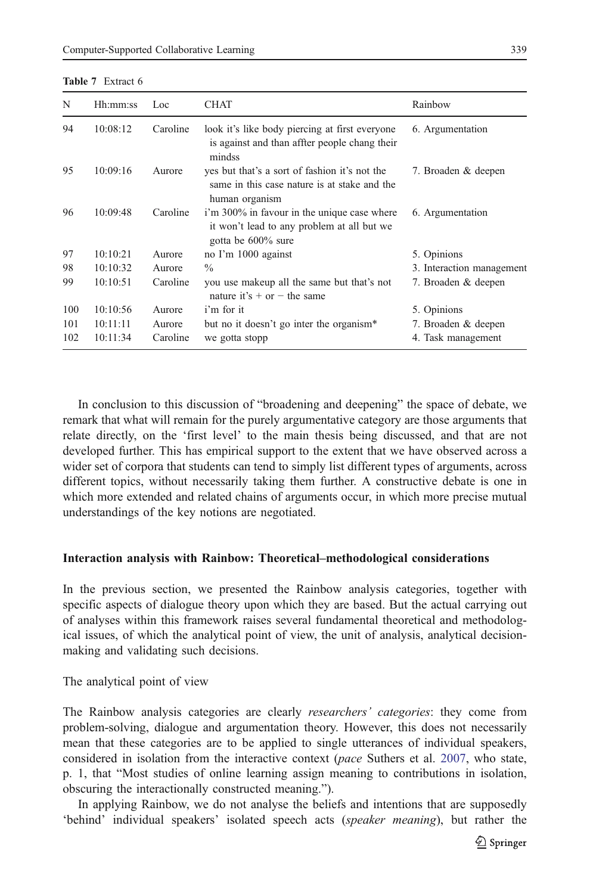<span id="page-24-0"></span>

| N   | Hh:mm:ss | Loc      | <b>CHAT</b>                                                                                                     | Rainbow                   |
|-----|----------|----------|-----------------------------------------------------------------------------------------------------------------|---------------------------|
| 94  | 10:08:12 | Caroline | look it's like body piercing at first everyone<br>is against and than affter people chang their<br>mindss       | 6. Argumentation          |
| 95  | 10:09:16 | Aurore   | yes but that's a sort of fashion it's not the<br>same in this case nature is at stake and the<br>human organism | 7. Broaden & deepen       |
| 96  | 10:09:48 | Caroline | i'm 300% in favour in the unique case where<br>it won't lead to any problem at all but we<br>gotta be 600% sure | 6. Argumentation          |
| 97  | 10:10:21 | Aurore   | no I'm 1000 against                                                                                             | 5. Opinions               |
| 98  | 10:10:32 | Aurore   | $\%$                                                                                                            | 3. Interaction management |
| 99  | 10:10:51 | Caroline | you use makeup all the same but that's not<br>nature it's $+$ or $-$ the same                                   | 7. Broaden & deepen       |
| 100 | 10:10:56 | Aurore   | i'm for it                                                                                                      | 5. Opinions               |
| 101 | 10:11:11 | Aurore   | but no it doesn't go inter the organism*                                                                        | 7. Broaden & deepen       |
| 102 | 10:11:34 | Caroline | we gotta stopp                                                                                                  | 4. Task management        |

In conclusion to this discussion of "broadening and deepening" the space of debate, we remark that what will remain for the purely argumentative category are those arguments that relate directly, on the 'first level' to the main thesis being discussed, and that are not developed further. This has empirical support to the extent that we have observed across a wider set of corpora that students can tend to simply list different types of arguments, across different topics, without necessarily taking them further. A constructive debate is one in which more extended and related chains of arguments occur, in which more precise mutual understandings of the key notions are negotiated.

### Interaction analysis with Rainbow: Theoretical–methodological considerations

In the previous section, we presented the Rainbow analysis categories, together with specific aspects of dialogue theory upon which they are based. But the actual carrying out of analyses within this framework raises several fundamental theoretical and methodological issues, of which the analytical point of view, the unit of analysis, analytical decisionmaking and validating such decisions.

The analytical point of view

The Rainbow analysis categories are clearly *researchers' categories*: they come from problem-solving, dialogue and argumentation theory. However, this does not necessarily mean that these categories are to be applied to single utterances of individual speakers, considered in isolation from the interactive context (pace Suthers et al. [2007](#page-41-0), who state, p. 1, that "Most studies of online learning assign meaning to contributions in isolation, obscuring the interactionally constructed meaning.").

In applying Rainbow, we do not analyse the beliefs and intentions that are supposedly 'behind' individual speakers' isolated speech acts (speaker meaning), but rather the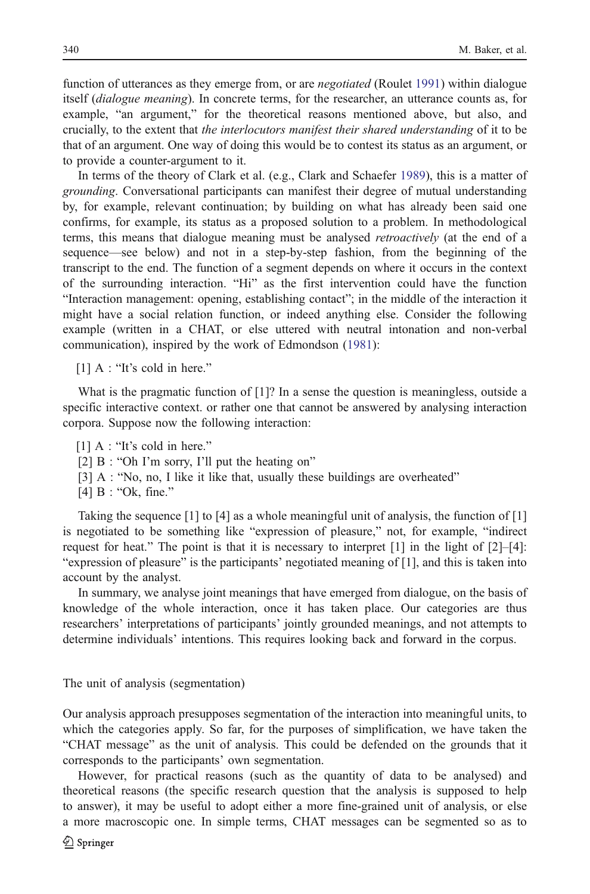function of utterances as they emerge from, or are *negotiated* (Roulet [1991](#page-41-0)) within dialogue itself *(dialogue meaning)*. In concrete terms, for the researcher, an utterance counts as, for example, "an argument," for the theoretical reasons mentioned above, but also, and crucially, to the extent that the interlocutors manifest their shared understanding of it to be that of an argument. One way of doing this would be to contest its status as an argument, or to provide a counter-argument to it.

In terms of the theory of Clark et al. (e.g., Clark and Schaefer [1989](#page-40-0)), this is a matter of grounding. Conversational participants can manifest their degree of mutual understanding by, for example, relevant continuation; by building on what has already been said one confirms, for example, its status as a proposed solution to a problem. In methodological terms, this means that dialogue meaning must be analysed retroactively (at the end of a sequence—see below) and not in a step-by-step fashion, from the beginning of the transcript to the end. The function of a segment depends on where it occurs in the context of the surrounding interaction. "Hi" as the first intervention could have the function "Interaction management: opening, establishing contact"; in the middle of the interaction it might have a social relation function, or indeed anything else. Consider the following example (written in a CHAT, or else uttered with neutral intonation and non-verbal communication), inspired by the work of Edmondson ([1981\)](#page-40-0):

[1] A : "It's cold in here."

What is the pragmatic function of  $[1]$ ? In a sense the question is meaningless, outside a specific interactive context. or rather one that cannot be answered by analysing interaction corpora. Suppose now the following interaction:

- [1] A : "It's cold in here."
- [2] B : "Oh I'm sorry, I'll put the heating on"
- [3] A : "No, no, I like it like that, usually these buildings are overheated"
- [4] B : "Ok, fine."

Taking the sequence  $[1]$  to  $[4]$  as a whole meaningful unit of analysis, the function of  $[1]$ is negotiated to be something like "expression of pleasure," not, for example, "indirect request for heat." The point is that it is necessary to interpret  $[1]$  in the light of  $[2]-[4]$ : "expression of pleasure" is the participants' negotiated meaning of [1], and this is taken into account by the analyst.

In summary, we analyse joint meanings that have emerged from dialogue, on the basis of knowledge of the whole interaction, once it has taken place. Our categories are thus researchers' interpretations of participants' jointly grounded meanings, and not attempts to determine individuals' intentions. This requires looking back and forward in the corpus.

The unit of analysis (segmentation)

Our analysis approach presupposes segmentation of the interaction into meaningful units, to which the categories apply. So far, for the purposes of simplification, we have taken the "CHAT message" as the unit of analysis. This could be defended on the grounds that it corresponds to the participants' own segmentation.

However, for practical reasons (such as the quantity of data to be analysed) and theoretical reasons (the specific research question that the analysis is supposed to help to answer), it may be useful to adopt either a more fine-grained unit of analysis, or else a more macroscopic one. In simple terms, CHAT messages can be segmented so as to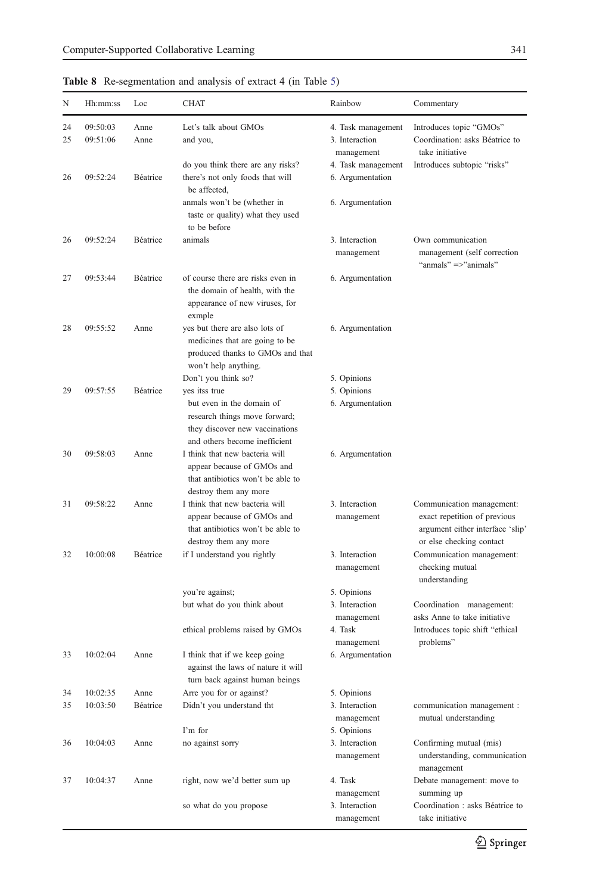| N  | Hh:mm:ss | Loc             | <b>CHAT</b>                                                                                                                   | Rainbow                                | Commentary                                                                                                                |
|----|----------|-----------------|-------------------------------------------------------------------------------------------------------------------------------|----------------------------------------|---------------------------------------------------------------------------------------------------------------------------|
| 24 | 09:50:03 | Anne            | Let's talk about GMOs                                                                                                         | 4. Task management                     | Introduces topic "GMOs"                                                                                                   |
| 25 | 09:51:06 | Anne            | and you,                                                                                                                      | 3. Interaction<br>management           | Coordination: asks Béatrice to<br>take initiative                                                                         |
| 26 | 09:52:24 | Béatrice        | do you think there are any risks?<br>there's not only foods that will<br>be affected,                                         | 4. Task management<br>6. Argumentation | Introduces subtopic "risks"                                                                                               |
|    |          |                 | anmals won't be (whether in<br>taste or quality) what they used<br>to be before                                               | 6. Argumentation                       |                                                                                                                           |
| 26 | 09:52:24 | Béatrice        | animals                                                                                                                       | 3. Interaction<br>management           | Own communication<br>management (self correction<br>"anmals" =>"animals"                                                  |
| 27 | 09:53:44 | <b>Béatrice</b> | of course there are risks even in<br>the domain of health, with the<br>appearance of new viruses, for<br>exmple               | 6. Argumentation                       |                                                                                                                           |
| 28 | 09:55:52 | Anne            | yes but there are also lots of<br>medicines that are going to be<br>produced thanks to GMOs and that<br>won't help anything.  | 6. Argumentation                       |                                                                                                                           |
|    |          |                 | Don't you think so?                                                                                                           | 5. Opinions                            |                                                                                                                           |
| 29 | 09:57:55 | Béatrice        | yes itss true                                                                                                                 | 5. Opinions                            |                                                                                                                           |
|    |          |                 | but even in the domain of<br>research things move forward;<br>they discover new vaccinations<br>and others become inefficient | 6. Argumentation                       |                                                                                                                           |
| 30 | 09:58:03 | Anne            | I think that new bacteria will<br>appear because of GMOs and<br>that antibiotics won't be able to<br>destroy them any more    | 6. Argumentation                       |                                                                                                                           |
| 31 | 09:58:22 | Anne            | I think that new bacteria will<br>appear because of GMOs and<br>that antibiotics won't be able to<br>destroy them any more    | 3. Interaction<br>management           | Communication management:<br>exact repetition of previous<br>argument either interface 'slip'<br>or else checking contact |
| 32 | 10:00:08 | Béatrice        | if I understand you rightly                                                                                                   | 3. Interaction<br>management           | Communication management:<br>checking mutual<br>understanding                                                             |
|    |          |                 | you're against;                                                                                                               | 5. Opinions                            |                                                                                                                           |
|    |          |                 | but what do you think about                                                                                                   | 3. Interaction<br>management           | Coordination management:<br>asks Anne to take initiative                                                                  |
|    |          |                 | ethical problems raised by GMOs                                                                                               | 4. Task<br>management                  | Introduces topic shift "ethical<br>problems"                                                                              |
| 33 | 10:02:04 | Anne            | I think that if we keep going<br>against the laws of nature it will<br>turn back against human beings                         | 6. Argumentation                       |                                                                                                                           |
| 34 | 10:02:35 | Anne            | Arre you for or against?                                                                                                      | 5. Opinions                            |                                                                                                                           |
| 35 | 10:03:50 | Béatrice        | Didn't you understand tht                                                                                                     | 3. Interaction<br>management           | communication management :<br>mutual understanding                                                                        |
|    |          |                 | I'm for                                                                                                                       | 5. Opinions                            |                                                                                                                           |
| 36 | 10:04:03 | Anne            | no against sorry                                                                                                              | 3. Interaction<br>management           | Confirming mutual (mis)<br>understanding, communication<br>management                                                     |
| 37 | 10:04:37 | Anne            | right, now we'd better sum up                                                                                                 | 4. Task<br>management                  | Debate management: move to<br>summing up                                                                                  |
|    |          |                 | so what do you propose                                                                                                        | 3. Interaction<br>management           | Coordination : asks Béatrice to<br>take initiative                                                                        |

management

<span id="page-26-0"></span>Table 8 Re-segmentation and analysis of extract 4 (in Table [5](#page-20-0))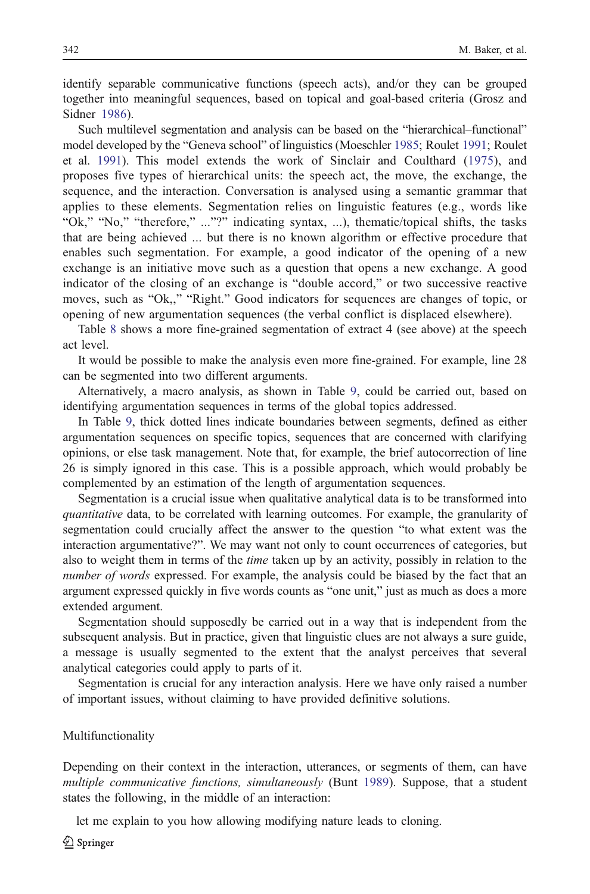identify separable communicative functions (speech acts), and/or they can be grouped together into meaningful sequences, based on topical and goal-based criteria (Grosz and Sidner [1986](#page-40-0)).

Such multilevel segmentation and analysis can be based on the "hierarchical–functional" model developed by the "Geneva school" of linguistics (Moeschler [1985](#page-41-0); Roulet [1991;](#page-41-0) Roulet et al. [1991\)](#page-41-0). This model extends the work of Sinclair and Coulthard ([1975\)](#page-41-0), and proposes five types of hierarchical units: the speech act, the move, the exchange, the sequence, and the interaction. Conversation is analysed using a semantic grammar that applies to these elements. Segmentation relies on linguistic features (e.g., words like "Ok," "No," "therefore," ..."?" indicating syntax, ...), thematic/topical shifts, the tasks that are being achieved ... but there is no known algorithm or effective procedure that enables such segmentation. For example, a good indicator of the opening of a new exchange is an initiative move such as a question that opens a new exchange. A good indicator of the closing of an exchange is "double accord," or two successive reactive moves, such as "Ok,," "Right." Good indicators for sequences are changes of topic, or opening of new argumentation sequences (the verbal conflict is displaced elsewhere).

Table [8](#page-26-0) shows a more fine-grained segmentation of extract 4 (see above) at the speech act level.

It would be possible to make the analysis even more fine-grained. For example, line 28 can be segmented into two different arguments.

Alternatively, a macro analysis, as shown in Table [9,](#page-28-0) could be carried out, based on identifying argumentation sequences in terms of the global topics addressed.

In Table [9](#page-28-0), thick dotted lines indicate boundaries between segments, defined as either argumentation sequences on specific topics, sequences that are concerned with clarifying opinions, or else task management. Note that, for example, the brief autocorrection of line 26 is simply ignored in this case. This is a possible approach, which would probably be complemented by an estimation of the length of argumentation sequences.

Segmentation is a crucial issue when qualitative analytical data is to be transformed into quantitative data, to be correlated with learning outcomes. For example, the granularity of segmentation could crucially affect the answer to the question "to what extent was the interaction argumentative?". We may want not only to count occurrences of categories, but also to weight them in terms of the *time* taken up by an activity, possibly in relation to the number of words expressed. For example, the analysis could be biased by the fact that an argument expressed quickly in five words counts as "one unit," just as much as does a more extended argument.

Segmentation should supposedly be carried out in a way that is independent from the subsequent analysis. But in practice, given that linguistic clues are not always a sure guide, a message is usually segmented to the extent that the analyst perceives that several analytical categories could apply to parts of it.

Segmentation is crucial for any interaction analysis. Here we have only raised a number of important issues, without claiming to have provided definitive solutions.

#### Multifunctionality

Depending on their context in the interaction, utterances, or segments of them, can have multiple communicative functions, simultaneously (Bunt [1989\)](#page-40-0). Suppose, that a student states the following, in the middle of an interaction:

let me explain to you how allowing modifying nature leads to cloning.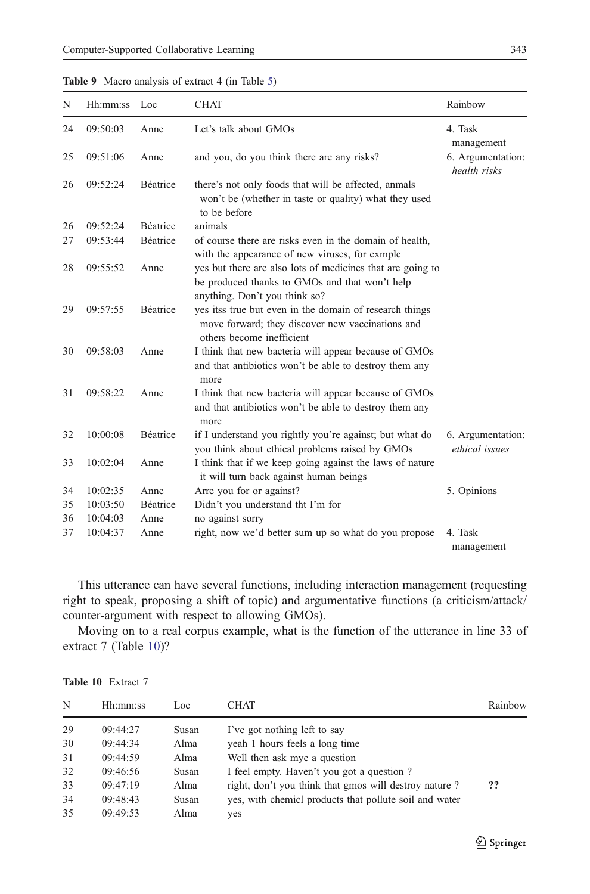| N  | Hh:mm:ss | Loc             | <b>CHAT</b>                                                                                                                                   | Rainbow                             |
|----|----------|-----------------|-----------------------------------------------------------------------------------------------------------------------------------------------|-------------------------------------|
| 24 | 09:50:03 | Anne            | Let's talk about GMOs                                                                                                                         | 4. Task<br>management               |
| 25 | 09:51:06 | Anne            | and you, do you think there are any risks?                                                                                                    | 6. Argumentation:<br>health risks   |
| 26 | 09:52:24 | <b>Béatrice</b> | there's not only foods that will be affected, anmals<br>won't be (whether in taste or quality) what they used<br>to be before                 |                                     |
| 26 | 09:52:24 | <b>Béatrice</b> | animals                                                                                                                                       |                                     |
| 27 | 09:53:44 | <b>Béatrice</b> | of course there are risks even in the domain of health,<br>with the appearance of new viruses, for exmple                                     |                                     |
| 28 | 09:55:52 | Anne            | yes but there are also lots of medicines that are going to<br>be produced thanks to GMOs and that won't help<br>anything. Don't you think so? |                                     |
| 29 | 09:57:55 | <b>Béatrice</b> | yes itss true but even in the domain of research things<br>move forward; they discover new vaccinations and<br>others become inefficient      |                                     |
| 30 | 09:58:03 | Anne            | I think that new bacteria will appear because of GMOs<br>and that antibiotics won't be able to destroy them any<br>more                       |                                     |
| 31 | 09:58:22 | Anne            | I think that new bacteria will appear because of GMOs<br>and that antibiotics won't be able to destroy them any<br>more                       |                                     |
| 32 | 10:00:08 | Béatrice        | if I understand you rightly you're against; but what do<br>you think about ethical problems raised by GMOs                                    | 6. Argumentation:<br>ethical issues |
| 33 | 10:02:04 | Anne            | I think that if we keep going against the laws of nature<br>it will turn back against human beings                                            |                                     |
| 34 | 10:02:35 | Anne            | Arre you for or against?                                                                                                                      | 5. Opinions                         |
| 35 | 10:03:50 | <b>Béatrice</b> | Didn't you understand tht I'm for                                                                                                             |                                     |
| 36 | 10:04:03 | Anne            | no against sorry                                                                                                                              |                                     |
| 37 | 10:04:37 | Anne            | right, now we'd better sum up so what do you propose                                                                                          | 4. Task<br>management               |

<span id="page-28-0"></span>

| Table 9 Macro analysis of extract 4 (in Table 5) |  |  |
|--------------------------------------------------|--|--|
|--------------------------------------------------|--|--|

This utterance can have several functions, including interaction management (requesting right to speak, proposing a shift of topic) and argumentative functions (a criticism/attack/ counter-argument with respect to allowing GMOs).

Moving on to a real corpus example, what is the function of the utterance in line 33 of extract 7 (Table 10)?

| N  | Hh:mm:ss | Loc   | <b>CHAT</b>                                            | Rainbow |
|----|----------|-------|--------------------------------------------------------|---------|
| 29 | 09:44:27 | Susan | I've got nothing left to say                           |         |
| 30 | 09:44:34 | Alma  | yeah 1 hours feels a long time                         |         |
| 31 | 09:44:59 | Alma  | Well then ask mye a question                           |         |
| 32 | 09:46:56 | Susan | I feel empty. Haven't you got a question?              |         |
| 33 | 09:47:19 | Alma  | right, don't you think that gmos will destroy nature?  | ??      |
| 34 | 09:48:43 | Susan | yes, with chemicl products that pollute soil and water |         |
| 35 | 09:49:53 | Alma  | yes                                                    |         |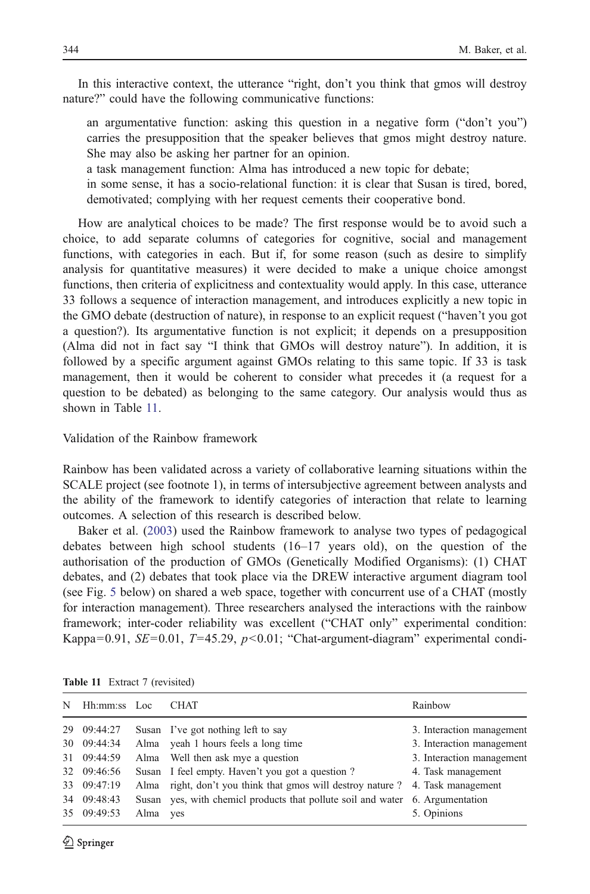In this interactive context, the utterance "right, don't you think that gmos will destroy nature?" could have the following communicative functions:

an argumentative function: asking this question in a negative form ("don't you") carries the presupposition that the speaker believes that gmos might destroy nature. She may also be asking her partner for an opinion.

a task management function: Alma has introduced a new topic for debate;

in some sense, it has a socio-relational function: it is clear that Susan is tired, bored, demotivated; complying with her request cements their cooperative bond.

How are analytical choices to be made? The first response would be to avoid such a choice, to add separate columns of categories for cognitive, social and management functions, with categories in each. But if, for some reason (such as desire to simplify analysis for quantitative measures) it were decided to make a unique choice amongst functions, then criteria of explicitness and contextuality would apply. In this case, utterance 33 follows a sequence of interaction management, and introduces explicitly a new topic in the GMO debate (destruction of nature), in response to an explicit request ("haven't you got a question?). Its argumentative function is not explicit; it depends on a presupposition (Alma did not in fact say "I think that GMOs will destroy nature"). In addition, it is followed by a specific argument against GMOs relating to this same topic. If 33 is task management, then it would be coherent to consider what precedes it (a request for a question to be debated) as belonging to the same category. Our analysis would thus as shown in Table 11.

### Validation of the Rainbow framework

Rainbow has been validated across a variety of collaborative learning situations within the SCALE project (see footnote 1), in terms of intersubjective agreement between analysts and the ability of the framework to identify categories of interaction that relate to learning outcomes. A selection of this research is described below.

Baker et al. ([2003\)](#page-40-0) used the Rainbow framework to analyse two types of pedagogical debates between high school students (16–17 years old), on the question of the authorisation of the production of GMOs (Genetically Modified Organisms): (1) CHAT debates, and (2) debates that took place via the DREW interactive argument diagram tool (see Fig. [5](#page-30-0) below) on shared a web space, together with concurrent use of a CHAT (mostly for interaction management). Three researchers analysed the interactions with the rainbow framework; inter-coder reliability was excellent ("CHAT only" experimental condition: Kappa=0.91,  $SE$ =0.01,  $T$ =45.29,  $p$ <0.01; "Chat-argument-diagram" experimental condi-

| N | Hh:mm:ss Loc |      | <b>CHAT</b>                                                                    | Rainbow                   |
|---|--------------|------|--------------------------------------------------------------------------------|---------------------------|
|   | 29 09:44:27  |      | Susan I've got nothing left to say                                             | 3. Interaction management |
|   | 30 09:44:34  |      | Alma yeah 1 hours feels a long time                                            | 3. Interaction management |
|   | 31 09:44:59  |      | Alma Well then ask mye a question                                              | 3. Interaction management |
|   | 32 09:46:56  |      | Susan I feel empty. Haven't you got a question?                                | 4. Task management        |
|   | 33 09:47:19  |      | Alma right, don't you think that gmos will destroy nature ? 4. Task management |                           |
|   | 34 09:48:43  |      | Susan yes, with chemicl products that pollute soil and water 6. Argumentation  |                           |
|   | 35 09:49:53  | Alma | yes                                                                            | 5. Opinions               |

Table 11 Extract 7 (revisited)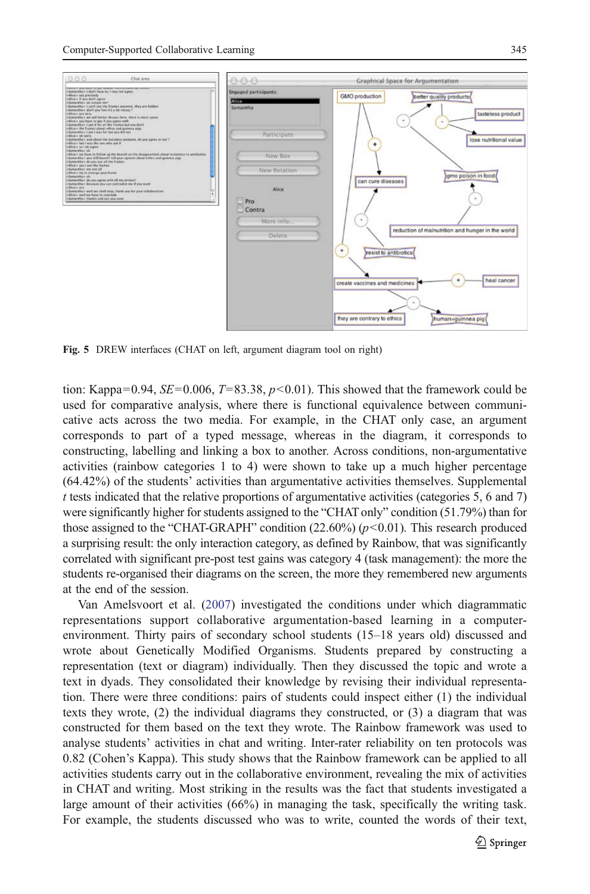<span id="page-30-0"></span>

Fig. 5 DREW interfaces (CHAT on left, argument diagram tool on right)

tion: Kappa=0.94,  $SE=0.006$ ,  $T=83.38$ ,  $p<0.01$ ). This showed that the framework could be used for comparative analysis, where there is functional equivalence between communicative acts across the two media. For example, in the CHAT only case, an argument corresponds to part of a typed message, whereas in the diagram, it corresponds to constructing, labelling and linking a box to another. Across conditions, non-argumentative activities (rainbow categories 1 to 4) were shown to take up a much higher percentage (64.42%) of the students' activities than argumentative activities themselves. Supplemental  $t$  tests indicated that the relative proportions of argumentative activities (categories 5, 6 and 7) were significantly higher for students assigned to the "CHAT only" condition (51.79%) than for those assigned to the "CHAT-GRAPH" condition  $(22.60\%) (p<0.01)$ . This research produced a surprising result: the only interaction category, as defined by Rainbow, that was significantly correlated with significant pre-post test gains was category 4 (task management): the more the students re-organised their diagrams on the screen, the more they remembered new arguments at the end of the session.

Van Amelsvoort et al. [\(2007](#page-41-0)) investigated the conditions under which diagrammatic representations support collaborative argumentation-based learning in a computerenvironment. Thirty pairs of secondary school students (15–18 years old) discussed and wrote about Genetically Modified Organisms. Students prepared by constructing a representation (text or diagram) individually. Then they discussed the topic and wrote a text in dyads. They consolidated their knowledge by revising their individual representation. There were three conditions: pairs of students could inspect either (1) the individual texts they wrote, (2) the individual diagrams they constructed, or (3) a diagram that was constructed for them based on the text they wrote. The Rainbow framework was used to analyse students' activities in chat and writing. Inter-rater reliability on ten protocols was 0.82 (Cohen's Kappa). This study shows that the Rainbow framework can be applied to all activities students carry out in the collaborative environment, revealing the mix of activities in CHAT and writing. Most striking in the results was the fact that students investigated a large amount of their activities (66%) in managing the task, specifically the writing task. For example, the students discussed who was to write, counted the words of their text,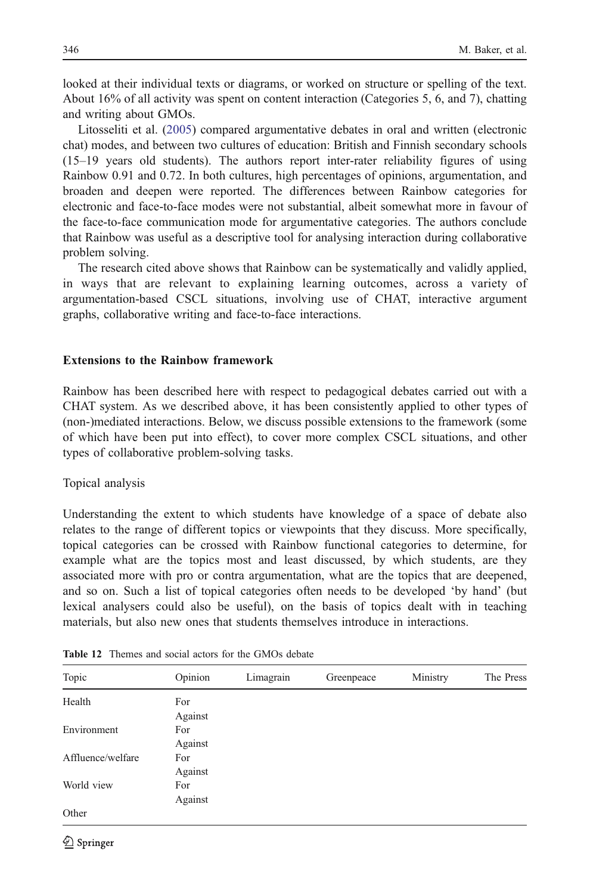<span id="page-31-0"></span>looked at their individual texts or diagrams, or worked on structure or spelling of the text. About 16% of all activity was spent on content interaction (Categories 5, 6, and 7), chatting and writing about GMOs.

Litosseliti et al. [\(2005](#page-41-0)) compared argumentative debates in oral and written (electronic chat) modes, and between two cultures of education: British and Finnish secondary schools (15–19 years old students). The authors report inter-rater reliability figures of using Rainbow 0.91 and 0.72. In both cultures, high percentages of opinions, argumentation, and broaden and deepen were reported. The differences between Rainbow categories for electronic and face-to-face modes were not substantial, albeit somewhat more in favour of the face-to-face communication mode for argumentative categories. The authors conclude that Rainbow was useful as a descriptive tool for analysing interaction during collaborative problem solving.

The research cited above shows that Rainbow can be systematically and validly applied, in ways that are relevant to explaining learning outcomes, across a variety of argumentation-based CSCL situations, involving use of CHAT, interactive argument graphs, collaborative writing and face-to-face interactions.

#### Extensions to the Rainbow framework

Rainbow has been described here with respect to pedagogical debates carried out with a CHAT system. As we described above, it has been consistently applied to other types of (non-)mediated interactions. Below, we discuss possible extensions to the framework (some of which have been put into effect), to cover more complex CSCL situations, and other types of collaborative problem-solving tasks.

#### Topical analysis

Understanding the extent to which students have knowledge of a space of debate also relates to the range of different topics or viewpoints that they discuss. More specifically, topical categories can be crossed with Rainbow functional categories to determine, for example what are the topics most and least discussed, by which students, are they associated more with pro or contra argumentation, what are the topics that are deepened, and so on. Such a list of topical categories often needs to be developed 'by hand' (but lexical analysers could also be useful), on the basis of topics dealt with in teaching materials, but also new ones that students themselves introduce in interactions.

| Topic             | Opinion        | Limagrain | Greenpeace | Ministry | The Press |
|-------------------|----------------|-----------|------------|----------|-----------|
| Health            | For<br>Against |           |            |          |           |
| Environment       | For<br>Against |           |            |          |           |
| Affluence/welfare | For<br>Against |           |            |          |           |
| World view        | For<br>Against |           |            |          |           |
| Other             |                |           |            |          |           |

Table 12 Themes and social actors for the GMOs debate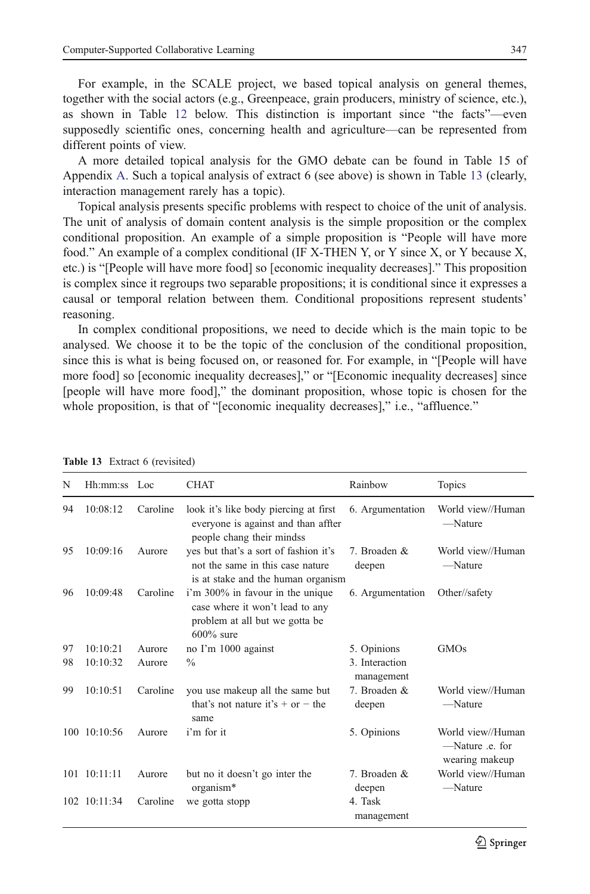For example, in the SCALE project, we based topical analysis on general themes, together with the social actors (e.g., Greenpeace, grain producers, ministry of science, etc.), as shown in Table [12](#page-31-0) below. This distinction is important since "the facts"—even supposedly scientific ones, concerning health and agriculture—can be represented from different points of view.

A more detailed topical analysis for the GMO debate can be found in Table 15 of Appendix [A](#page-36-0). Such a topical analysis of extract 6 (see above) is shown in Table 13 (clearly, interaction management rarely has a topic).

Topical analysis presents specific problems with respect to choice of the unit of analysis. The unit of analysis of domain content analysis is the simple proposition or the complex conditional proposition. An example of a simple proposition is "People will have more food." An example of a complex conditional (IF X-THEN Y, or Y since X, or Y because X, etc.) is "[People will have more food] so [economic inequality decreases]." This proposition is complex since it regroups two separable propositions; it is conditional since it expresses a causal or temporal relation between them. Conditional propositions represent students' reasoning.

In complex conditional propositions, we need to decide which is the main topic to be analysed. We choose it to be the topic of the conclusion of the conditional proposition, since this is what is being focused on, or reasoned for. For example, in "[People will have more food] so [economic inequality decreases]," or "[Economic inequality decreases] since [people will have more food]," the dominant proposition, whose topic is chosen for the whole proposition, is that of "[economic inequality decreases]," i.e., "affluence."

| N  | Hh:mm:ss Loc         |          | <b>CHAT</b>                                                                                                           | Rainbow                      | Topics                                                 |
|----|----------------------|----------|-----------------------------------------------------------------------------------------------------------------------|------------------------------|--------------------------------------------------------|
| 94 | 10:08:12             | Caroline | look it's like body piercing at first<br>everyone is against and than affter<br>people chang their mindss             | 6. Argumentation             | World view//Human<br>$\longrightarrow$ Nature          |
| 95 | 10:09:16             | Aurore   | yes but that's a sort of fashion it's<br>not the same in this case nature<br>is at stake and the human organism       | 7. Broaden &<br>deepen       | World view//Human<br>-Nature                           |
| 96 | 10:09:48             | Caroline | i'm 300% in favour in the unique<br>case where it won't lead to any<br>problem at all but we gotta be<br>$600\%$ sure | 6. Argumentation             | Other//safety                                          |
| 97 | 10:10:21             | Aurore   | no I'm 1000 against                                                                                                   | 5. Opinions                  | <b>GMOs</b>                                            |
| 98 | 10:10:32             | Aurore   | $\frac{0}{0}$                                                                                                         | 3. Interaction<br>management |                                                        |
| 99 | 10:10:51             | Caroline | you use makeup all the same but<br>that's not nature it's $+$ or $-$ the<br>same                                      | 7. Broaden &<br>deepen       | World view//Human<br>-Nature                           |
|    | 100 10:10:56         | Aurore   | i'm for it                                                                                                            | 5. Opinions                  | World view//Human<br>-Nature .e. for<br>wearing makeup |
|    | $101 \quad 10:11:11$ | Aurore   | but no it doesn't go inter the<br>organism*                                                                           | 7. Broaden &<br>deepen       | World view//Human<br>-Nature                           |
|    | $102 \quad 10:11:34$ | Caroline | we gotta stopp                                                                                                        | 4. Task<br>management        |                                                        |

| Table 13 Extract 6 (revisited) |  |  |
|--------------------------------|--|--|
|--------------------------------|--|--|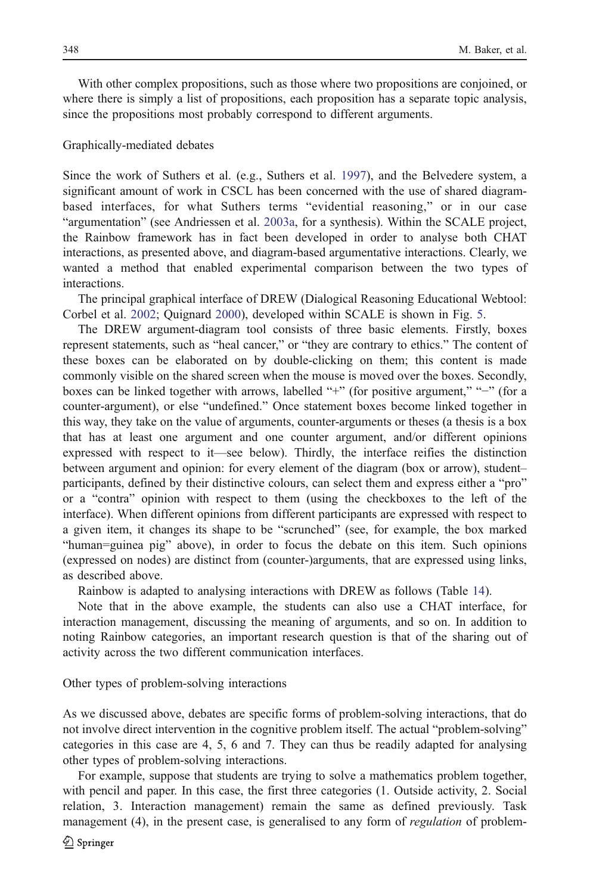With other complex propositions, such as those where two propositions are conjoined, or where there is simply a list of propositions, each proposition has a separate topic analysis, since the propositions most probably correspond to different arguments.

#### Graphically-mediated debates

Since the work of Suthers et al. (e.g., Suthers et al. [1997\)](#page-41-0), and the Belvedere system, a significant amount of work in CSCL has been concerned with the use of shared diagrambased interfaces, for what Suthers terms "evidential reasoning," or in our case "argumentation" (see Andriessen et al. [2003a,](#page-39-0) for a synthesis). Within the SCALE project, the Rainbow framework has in fact been developed in order to analyse both CHAT interactions, as presented above, and diagram-based argumentative interactions. Clearly, we wanted a method that enabled experimental comparison between the two types of interactions.

The principal graphical interface of DREW (Dialogical Reasoning Educational Webtool: Corbel et al. [2002](#page-40-0); Quignard [2000\)](#page-41-0), developed within SCALE is shown in Fig. [5](#page-30-0).

The DREW argument-diagram tool consists of three basic elements. Firstly, boxes represent statements, such as "heal cancer," or "they are contrary to ethics." The content of these boxes can be elaborated on by double-clicking on them; this content is made commonly visible on the shared screen when the mouse is moved over the boxes. Secondly, boxes can be linked together with arrows, labelled "+" (for positive argument," "−" (for a counter-argument), or else "undefined." Once statement boxes become linked together in this way, they take on the value of arguments, counter-arguments or theses (a thesis is a box that has at least one argument and one counter argument, and/or different opinions expressed with respect to it—see below). Thirdly, the interface reifies the distinction between argument and opinion: for every element of the diagram (box or arrow), student– participants, defined by their distinctive colours, can select them and express either a "pro" or a "contra" opinion with respect to them (using the checkboxes to the left of the interface). When different opinions from different participants are expressed with respect to a given item, it changes its shape to be "scrunched" (see, for example, the box marked "human=guinea pig" above), in order to focus the debate on this item. Such opinions (expressed on nodes) are distinct from (counter-)arguments, that are expressed using links, as described above.

Rainbow is adapted to analysing interactions with DREW as follows (Table [14](#page-34-0)).

Note that in the above example, the students can also use a CHAT interface, for interaction management, discussing the meaning of arguments, and so on. In addition to noting Rainbow categories, an important research question is that of the sharing out of activity across the two different communication interfaces.

Other types of problem-solving interactions

As we discussed above, debates are specific forms of problem-solving interactions, that do not involve direct intervention in the cognitive problem itself. The actual "problem-solving" categories in this case are 4, 5, 6 and 7. They can thus be readily adapted for analysing other types of problem-solving interactions.

For example, suppose that students are trying to solve a mathematics problem together, with pencil and paper. In this case, the first three categories (1. Outside activity, 2. Social relation, 3. Interaction management) remain the same as defined previously. Task management (4), in the present case, is generalised to any form of *regulation* of problem-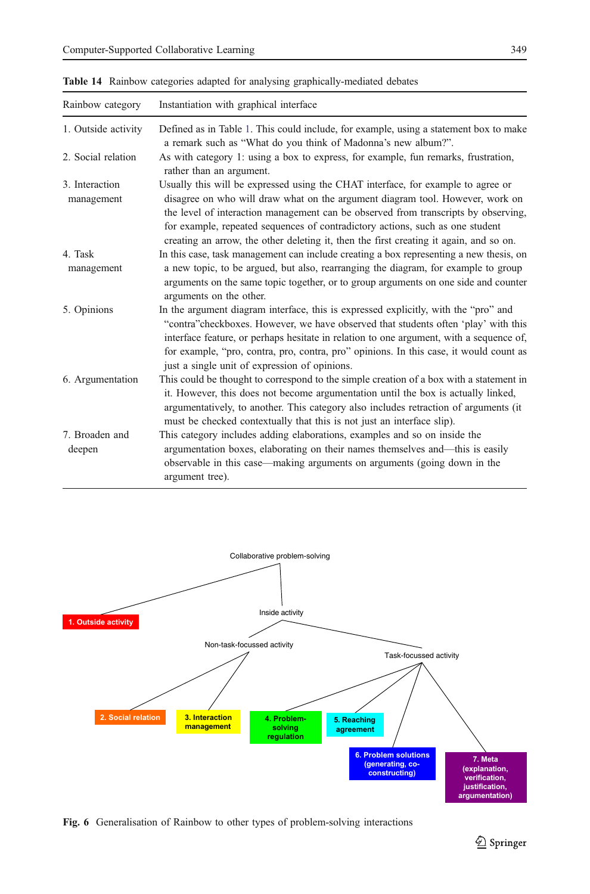| Rainbow category             | Instantiation with graphical interface                                                                                                                                                                                                                                                                                                                                                                                             |
|------------------------------|------------------------------------------------------------------------------------------------------------------------------------------------------------------------------------------------------------------------------------------------------------------------------------------------------------------------------------------------------------------------------------------------------------------------------------|
| 1. Outside activity          | Defined as in Table 1. This could include, for example, using a statement box to make<br>a remark such as "What do you think of Madonna's new album?".                                                                                                                                                                                                                                                                             |
| 2. Social relation           | As with category 1: using a box to express, for example, fun remarks, frustration,<br>rather than an argument.                                                                                                                                                                                                                                                                                                                     |
| 3. Interaction<br>management | Usually this will be expressed using the CHAT interface, for example to agree or<br>disagree on who will draw what on the argument diagram tool. However, work on<br>the level of interaction management can be observed from transcripts by observing.<br>for example, repeated sequences of contradictory actions, such as one student<br>creating an arrow, the other deleting it, then the first creating it again, and so on. |
| 4. Task<br>management        | In this case, task management can include creating a box representing a new thesis, on<br>a new topic, to be argued, but also, rearranging the diagram, for example to group<br>arguments on the same topic together, or to group arguments on one side and counter<br>arguments on the other.                                                                                                                                     |
| 5. Opinions                  | In the argument diagram interface, this is expressed explicitly, with the "pro" and<br>"contra" checkboxes. However, we have observed that students often 'play' with this<br>interface feature, or perhaps hesitate in relation to one argument, with a sequence of,<br>for example, "pro, contra, pro, contra, pro" opinions. In this case, it would count as<br>just a single unit of expression of opinions.                   |
| 6. Argumentation             | This could be thought to correspond to the simple creation of a box with a statement in<br>it. However, this does not become argumentation until the box is actually linked,<br>argumentatively, to another. This category also includes retraction of arguments (it<br>must be checked contextually that this is not just an interface slip).                                                                                     |
| 7. Broaden and<br>deepen     | This category includes adding elaborations, examples and so on inside the<br>argumentation boxes, elaborating on their names themselves and—this is easily<br>observable in this case—making arguments on arguments (going down in the<br>argument tree).                                                                                                                                                                          |

<span id="page-34-0"></span>Table 14 Rainbow categories adapted for analysing graphically-mediated debates



Fig. 6 Generalisation of Rainbow to other types of problem-solving interactions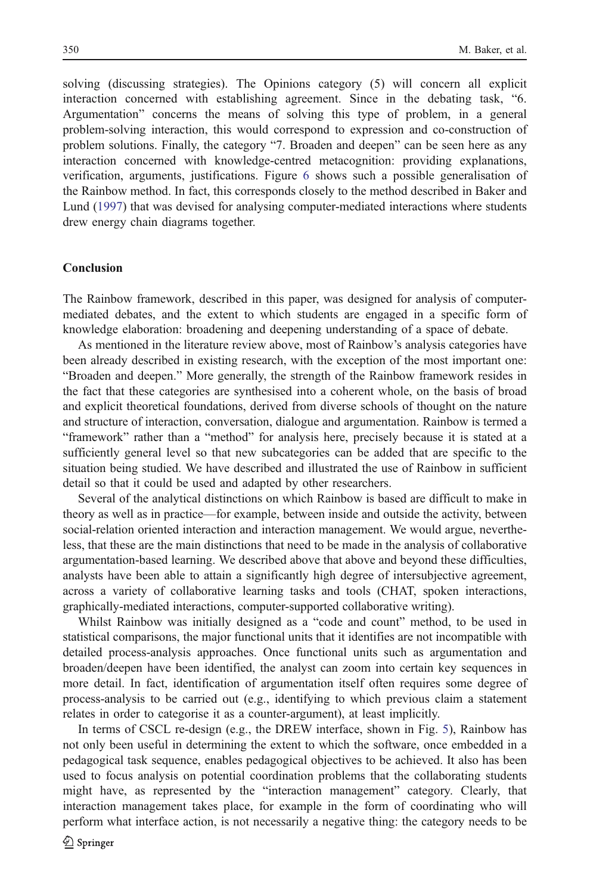solving (discussing strategies). The Opinions category (5) will concern all explicit interaction concerned with establishing agreement. Since in the debating task, "6. Argumentation" concerns the means of solving this type of problem, in a general problem-solving interaction, this would correspond to expression and co-construction of problem solutions. Finally, the category "7. Broaden and deepen" can be seen here as any interaction concerned with knowledge-centred metacognition: providing explanations, verification, arguments, justifications. Figure [6](#page-34-0) shows such a possible generalisation of the Rainbow method. In fact, this corresponds closely to the method described in Baker and Lund [\(1997](#page-40-0)) that was devised for analysing computer-mediated interactions where students drew energy chain diagrams together.

## Conclusion

The Rainbow framework, described in this paper, was designed for analysis of computermediated debates, and the extent to which students are engaged in a specific form of knowledge elaboration: broadening and deepening understanding of a space of debate.

As mentioned in the literature review above, most of Rainbow's analysis categories have been already described in existing research, with the exception of the most important one: "Broaden and deepen." More generally, the strength of the Rainbow framework resides in the fact that these categories are synthesised into a coherent whole, on the basis of broad and explicit theoretical foundations, derived from diverse schools of thought on the nature and structure of interaction, conversation, dialogue and argumentation. Rainbow is termed a "framework" rather than a "method" for analysis here, precisely because it is stated at a sufficiently general level so that new subcategories can be added that are specific to the situation being studied. We have described and illustrated the use of Rainbow in sufficient detail so that it could be used and adapted by other researchers.

Several of the analytical distinctions on which Rainbow is based are difficult to make in theory as well as in practice—for example, between inside and outside the activity, between social-relation oriented interaction and interaction management. We would argue, nevertheless, that these are the main distinctions that need to be made in the analysis of collaborative argumentation-based learning. We described above that above and beyond these difficulties, analysts have been able to attain a significantly high degree of intersubjective agreement, across a variety of collaborative learning tasks and tools (CHAT, spoken interactions, graphically-mediated interactions, computer-supported collaborative writing).

Whilst Rainbow was initially designed as a "code and count" method, to be used in statistical comparisons, the major functional units that it identifies are not incompatible with detailed process-analysis approaches. Once functional units such as argumentation and broaden/deepen have been identified, the analyst can zoom into certain key sequences in more detail. In fact, identification of argumentation itself often requires some degree of process-analysis to be carried out (e.g., identifying to which previous claim a statement relates in order to categorise it as a counter-argument), at least implicitly.

In terms of CSCL re-design (e.g., the DREW interface, shown in Fig. [5](#page-30-0)), Rainbow has not only been useful in determining the extent to which the software, once embedded in a pedagogical task sequence, enables pedagogical objectives to be achieved. It also has been used to focus analysis on potential coordination problems that the collaborating students might have, as represented by the "interaction management" category. Clearly, that interaction management takes place, for example in the form of coordinating who will perform what interface action, is not necessarily a negative thing: the category needs to be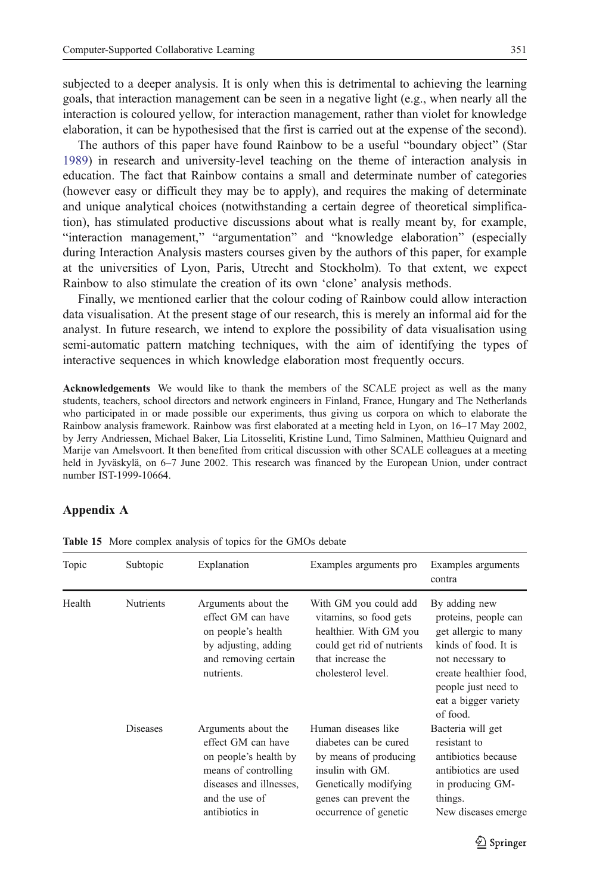<span id="page-36-0"></span>subjected to a deeper analysis. It is only when this is detrimental to achieving the learning goals, that interaction management can be seen in a negative light (e.g., when nearly all the interaction is coloured yellow, for interaction management, rather than violet for knowledge elaboration, it can be hypothesised that the first is carried out at the expense of the second).

The authors of this paper have found Rainbow to be a useful "boundary object" (Star [1989\)](#page-41-0) in research and university-level teaching on the theme of interaction analysis in education. The fact that Rainbow contains a small and determinate number of categories (however easy or difficult they may be to apply), and requires the making of determinate and unique analytical choices (notwithstanding a certain degree of theoretical simplification), has stimulated productive discussions about what is really meant by, for example, "interaction management," "argumentation" and "knowledge elaboration" (especially during Interaction Analysis masters courses given by the authors of this paper, for example at the universities of Lyon, Paris, Utrecht and Stockholm). To that extent, we expect Rainbow to also stimulate the creation of its own 'clone' analysis methods.

Finally, we mentioned earlier that the colour coding of Rainbow could allow interaction data visualisation. At the present stage of our research, this is merely an informal aid for the analyst. In future research, we intend to explore the possibility of data visualisation using semi-automatic pattern matching techniques, with the aim of identifying the types of interactive sequences in which knowledge elaboration most frequently occurs.

Acknowledgements We would like to thank the members of the SCALE project as well as the many students, teachers, school directors and network engineers in Finland, France, Hungary and The Netherlands who participated in or made possible our experiments, thus giving us corpora on which to elaborate the Rainbow analysis framework. Rainbow was first elaborated at a meeting held in Lyon, on 16–17 May 2002, by Jerry Andriessen, Michael Baker, Lia Litosseliti, Kristine Lund, Timo Salminen, Matthieu Quignard and Marije van Amelsvoort. It then benefited from critical discussion with other SCALE colleagues at a meeting held in Jyväskylä, on 6–7 June 2002. This research was financed by the European Union, under contract number IST-1999-10664.

### Appendix A

| Topic  | Subtopic         | Explanation                                                                                                                                               | Examples arguments pro                                                                                                                                               | Examples arguments<br>contra                                                                                                                                                                   |
|--------|------------------|-----------------------------------------------------------------------------------------------------------------------------------------------------------|----------------------------------------------------------------------------------------------------------------------------------------------------------------------|------------------------------------------------------------------------------------------------------------------------------------------------------------------------------------------------|
| Health | <b>Nutrients</b> | Arguments about the<br>effect GM can have<br>on people's health<br>by adjusting, adding<br>and removing certain<br>nutrients.                             | With GM you could add<br>vitamins, so food gets<br>healthier. With GM you<br>could get rid of nutrients<br>that increase the<br>cholesterol level.                   | By adding new<br>proteins, people can<br>get allergic to many<br>kinds of food. It is<br>not necessary to<br>create healthier food,<br>people just need to<br>eat a bigger variety<br>of food. |
|        | <b>Diseases</b>  | Arguments about the<br>effect GM can have<br>on people's health by<br>means of controlling<br>diseases and illnesses.<br>and the use of<br>antibiotics in | Human diseases like<br>diabetes can be cured<br>by means of producing<br>insulin with GM.<br>Genetically modifying<br>genes can prevent the<br>occurrence of genetic | Bacteria will get<br>resistant to<br>antibiotics because<br>antibiotics are used<br>in producing GM-<br>things.<br>New diseases emerge                                                         |

Table 15 More complex analysis of topics for the GMOs debate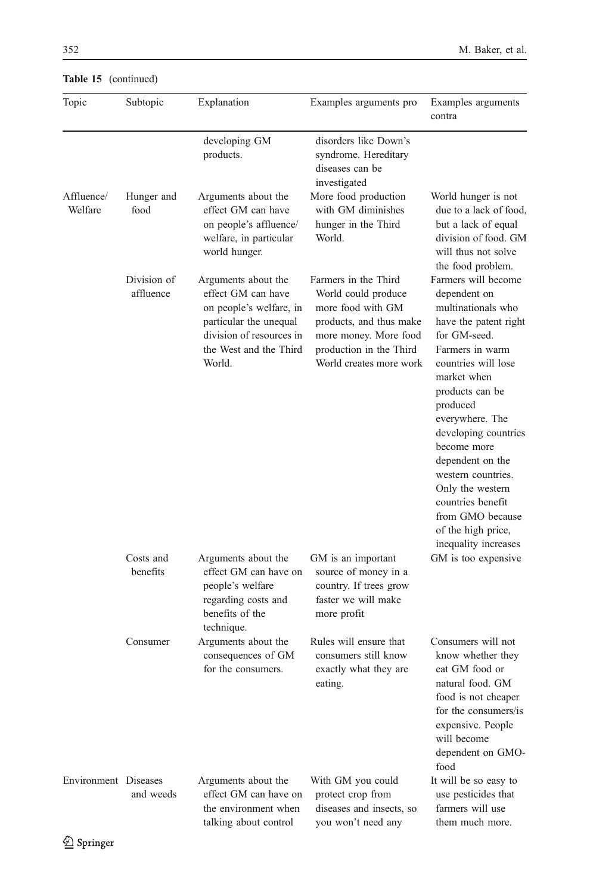| Topic                | Subtopic                 | Explanation                                                                                                                                                    | Examples arguments pro                                                                                                                                                     | Examples arguments<br>contra                                                                                                                                                                                                                                                                                                                                                                              |
|----------------------|--------------------------|----------------------------------------------------------------------------------------------------------------------------------------------------------------|----------------------------------------------------------------------------------------------------------------------------------------------------------------------------|-----------------------------------------------------------------------------------------------------------------------------------------------------------------------------------------------------------------------------------------------------------------------------------------------------------------------------------------------------------------------------------------------------------|
| Affluence/           | Hunger and               | developing GM<br>products.<br>Arguments about the                                                                                                              | disorders like Down's<br>syndrome. Hereditary<br>diseases can be<br>investigated<br>More food production                                                                   | World hunger is not                                                                                                                                                                                                                                                                                                                                                                                       |
| Welfare              | food                     | effect GM can have<br>on people's affluence/<br>welfare, in particular<br>world hunger.                                                                        | with GM diminishes<br>hunger in the Third<br>World.                                                                                                                        | due to a lack of food,<br>but a lack of equal<br>division of food. GM<br>will thus not solve<br>the food problem.                                                                                                                                                                                                                                                                                         |
|                      | Division of<br>affluence | Arguments about the<br>effect GM can have<br>on people's welfare, in<br>particular the unequal<br>division of resources in<br>the West and the Third<br>World. | Farmers in the Third<br>World could produce<br>more food with GM<br>products, and thus make<br>more money. More food<br>production in the Third<br>World creates more work | Farmers will become<br>dependent on<br>multinationals who<br>have the patent right<br>for GM-seed.<br>Farmers in warm<br>countries will lose<br>market when<br>products can be<br>produced<br>everywhere. The<br>developing countries<br>become more<br>dependent on the<br>western countries.<br>Only the western<br>countries benefit<br>from GMO because<br>of the high price,<br>inequality increases |
|                      | Costs and<br>benefits    | Arguments about the<br>effect GM can have on<br>people's welfare<br>regarding costs and<br>benefits of the<br>technique.                                       | GM is an important<br>source of money in a<br>country. If trees grow<br>faster we will make<br>more profit                                                                 | GM is too expensive                                                                                                                                                                                                                                                                                                                                                                                       |
|                      | Consumer                 | Arguments about the<br>consequences of GM<br>for the consumers.                                                                                                | Rules will ensure that<br>consumers still know<br>exactly what they are<br>eating.                                                                                         | Consumers will not<br>know whether they<br>eat GM food or<br>natural food. GM<br>food is not cheaper<br>for the consumers/is<br>expensive. People<br>will become<br>dependent on GMO-<br>food                                                                                                                                                                                                             |
| Environment Diseases | and weeds                | Arguments about the<br>effect GM can have on<br>the environment when<br>talking about control                                                                  | With GM you could<br>protect crop from<br>diseases and insects, so<br>you won't need any                                                                                   | It will be so easy to<br>use pesticides that<br>farmers will use<br>them much more.                                                                                                                                                                                                                                                                                                                       |

|  | Table 15 (continued) |
|--|----------------------|
|  |                      |

 $\mathcal{D}$  Springer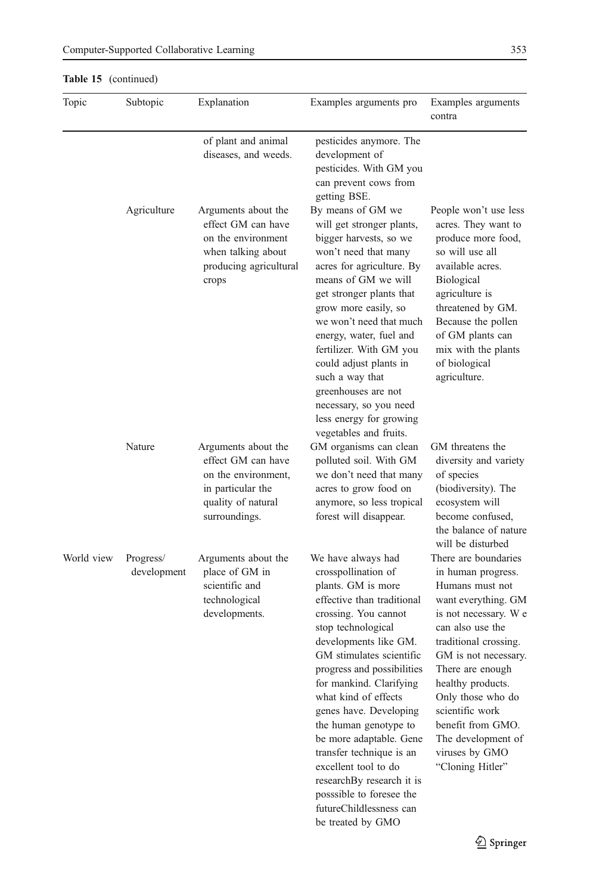| Topic      | Subtopic                 | Explanation                                                                                                                  | Examples arguments pro                                                                                                                                                                                                                                                                                                                                                                                                                                                                                                       | Examples arguments<br>contra                                                                                                                                                                                                                                                                                                                         |
|------------|--------------------------|------------------------------------------------------------------------------------------------------------------------------|------------------------------------------------------------------------------------------------------------------------------------------------------------------------------------------------------------------------------------------------------------------------------------------------------------------------------------------------------------------------------------------------------------------------------------------------------------------------------------------------------------------------------|------------------------------------------------------------------------------------------------------------------------------------------------------------------------------------------------------------------------------------------------------------------------------------------------------------------------------------------------------|
|            |                          | of plant and animal<br>diseases, and weeds.                                                                                  | pesticides anymore. The<br>development of<br>pesticides. With GM you<br>can prevent cows from<br>getting BSE.                                                                                                                                                                                                                                                                                                                                                                                                                |                                                                                                                                                                                                                                                                                                                                                      |
|            | Agriculture              | Arguments about the<br>effect GM can have<br>on the environment<br>when talking about<br>producing agricultural<br>crops     | By means of GM we<br>will get stronger plants,<br>bigger harvests, so we<br>won't need that many<br>acres for agriculture. By<br>means of GM we will<br>get stronger plants that<br>grow more easily, so<br>we won't need that much<br>energy, water, fuel and<br>fertilizer. With GM you<br>could adjust plants in<br>such a way that<br>greenhouses are not<br>necessary, so you need<br>less energy for growing<br>vegetables and fruits.                                                                                 | People won't use less<br>acres. They want to<br>produce more food,<br>so will use all<br>available acres.<br><b>Biological</b><br>agriculture is<br>threatened by GM.<br>Because the pollen<br>of GM plants can<br>mix with the plants<br>of biological<br>agriculture.                                                                              |
|            | Nature                   | Arguments about the<br>effect GM can have<br>on the environment,<br>in particular the<br>quality of natural<br>surroundings. | GM organisms can clean<br>polluted soil. With GM<br>we don't need that many<br>acres to grow food on<br>anymore, so less tropical<br>forest will disappear.                                                                                                                                                                                                                                                                                                                                                                  | GM threatens the<br>diversity and variety<br>of species<br>(biodiversity). The<br>ecosystem will<br>become confused,<br>the balance of nature<br>will be disturbed                                                                                                                                                                                   |
| World view | Progress/<br>development | Arguments about the<br>place of GM in<br>scientific and<br>technological<br>developments.                                    | We have always had<br>crosspollination of<br>plants. GM is more<br>effective than traditional<br>crossing. You cannot<br>stop technological<br>developments like GM.<br>GM stimulates scientific<br>progress and possibilities<br>for mankind. Clarifying<br>what kind of effects<br>genes have. Developing<br>the human genotype to<br>be more adaptable. Gene<br>transfer technique is an<br>excellent tool to do<br>researchBy research it is<br>posssible to foresee the<br>futureChildlessness can<br>be treated by GMO | There are boundaries<br>in human progress.<br>Humans must not<br>want everything. GM<br>is not necessary. We<br>can also use the<br>traditional crossing.<br>GM is not necessary.<br>There are enough.<br>healthy products.<br>Only those who do<br>scientific work<br>benefit from GMO.<br>The development of<br>viruses by GMO<br>"Cloning Hitler" |

# Table 15 (continued)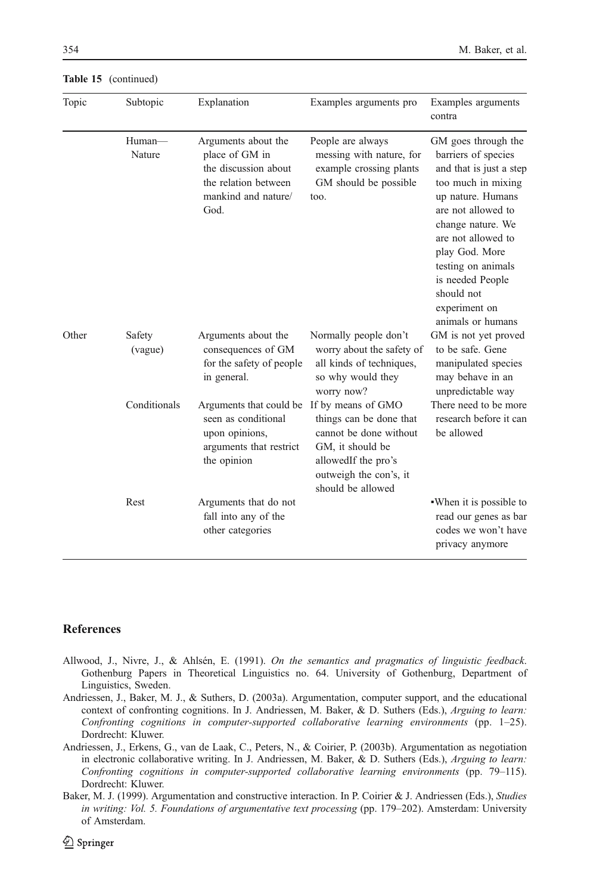| Topic | Subtopic          | Explanation                                                                                                          | Examples arguments pro                                                                                                                                            | Examples arguments<br>contra                                                                                                                                                                                                                                                                      |
|-------|-------------------|----------------------------------------------------------------------------------------------------------------------|-------------------------------------------------------------------------------------------------------------------------------------------------------------------|---------------------------------------------------------------------------------------------------------------------------------------------------------------------------------------------------------------------------------------------------------------------------------------------------|
|       | Human-<br>Nature  | Arguments about the<br>place of GM in<br>the discussion about<br>the relation between<br>mankind and nature/<br>God. | People are always<br>messing with nature, for<br>example crossing plants<br>GM should be possible<br>too.                                                         | GM goes through the<br>barriers of species<br>and that is just a step<br>too much in mixing<br>up nature. Humans<br>are not allowed to<br>change nature. We<br>are not allowed to<br>play God. More<br>testing on animals<br>is needed People<br>should not<br>experiment on<br>animals or humans |
| Other | Safety<br>(vague) | Arguments about the<br>consequences of GM<br>for the safety of people<br>in general.                                 | Normally people don't<br>worry about the safety of<br>all kinds of techniques,<br>so why would they<br>worry now?                                                 | GM is not yet proved<br>to be safe. Gene<br>manipulated species<br>may behave in an<br>unpredictable way                                                                                                                                                                                          |
|       | Conditionals      | Arguments that could be<br>seen as conditional<br>upon opinions,<br>arguments that restrict<br>the opinion           | If by means of GMO<br>things can be done that<br>cannot be done without<br>GM, it should be<br>allowedIf the pro's<br>outweigh the con's, it<br>should be allowed | There need to be more<br>research before it can<br>be allowed                                                                                                                                                                                                                                     |
|       | Rest              | Arguments that do not<br>fall into any of the<br>other categories                                                    |                                                                                                                                                                   | . When it is possible to<br>read our genes as bar<br>codes we won't have<br>privacy anymore                                                                                                                                                                                                       |

<span id="page-39-0"></span>Table 15 (continued)

# **References**

- Allwood, J., Nivre, J., & Ahlsén, E. (1991). On the semantics and pragmatics of linguistic feedback. Gothenburg Papers in Theoretical Linguistics no. 64. University of Gothenburg, Department of Linguistics, Sweden.
- Andriessen, J., Baker, M. J., & Suthers, D. (2003a). Argumentation, computer support, and the educational context of confronting cognitions. In J. Andriessen, M. Baker, & D. Suthers (Eds.), Arguing to learn: Confronting cognitions in computer-supported collaborative learning environments (pp. 1–25). Dordrecht: Kluwer.
- Andriessen, J., Erkens, G., van de Laak, C., Peters, N., & Coirier, P. (2003b). Argumentation as negotiation in electronic collaborative writing. In J. Andriessen, M. Baker, & D. Suthers (Eds.), Arguing to learn: Confronting cognitions in computer-supported collaborative learning environments (pp. 79–115). Dordrecht: Kluwer.
- Baker, M. J. (1999). Argumentation and constructive interaction. In P. Coirier & J. Andriessen (Eds.), Studies in writing: Vol. 5. Foundations of argumentative text processing (pp. 179-202). Amsterdam: University of Amsterdam.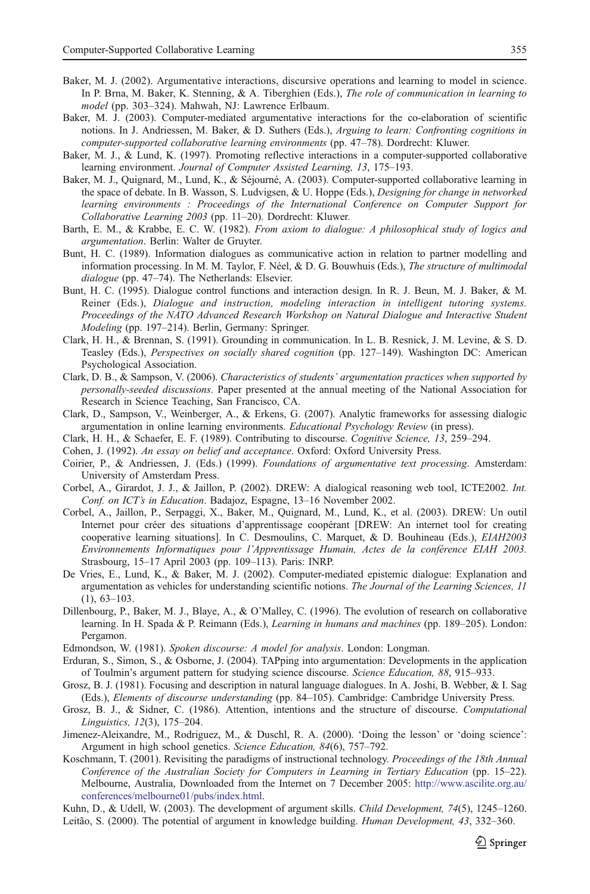- <span id="page-40-0"></span>Baker, M. J. (2002). Argumentative interactions, discursive operations and learning to model in science. In P. Brna, M. Baker, K. Stenning, & A. Tiberghien (Eds.), The role of communication in learning to model (pp. 303–324). Mahwah, NJ: Lawrence Erlbaum.
- Baker, M. J. (2003). Computer-mediated argumentative interactions for the co-elaboration of scientific notions. In J. Andriessen, M. Baker, & D. Suthers (Eds.), Arguing to learn: Confronting cognitions in computer-supported collaborative learning environments (pp. 47–78). Dordrecht: Kluwer.
- Baker, M. J., & Lund, K. (1997). Promoting reflective interactions in a computer-supported collaborative learning environment. Journal of Computer Assisted Learning, 13, 175–193.
- Baker, M. J., Quignard, M., Lund, K., & Séjourné, A. (2003). Computer-supported collaborative learning in the space of debate. In B. Wasson, S. Ludvigsen, & U. Hoppe (Eds.), Designing for change in networked learning environments : Proceedings of the International Conference on Computer Support for Collaborative Learning 2003 (pp. 11–20). Dordrecht: Kluwer.
- Barth, E. M., & Krabbe, E. C. W. (1982). From axiom to dialogue: A philosophical study of logics and argumentation. Berlin: Walter de Gruyter.
- Bunt, H. C. (1989). Information dialogues as communicative action in relation to partner modelling and information processing. In M. M. Taylor, F. Néel, & D. G. Bouwhuis (Eds.), The structure of multimodal dialogue (pp. 47–74). The Netherlands: Elsevier.
- Bunt, H. C. (1995). Dialogue control functions and interaction design. In R. J. Beun, M. J. Baker, & M. Reiner (Eds.), Dialogue and instruction, modeling interaction in intelligent tutoring systems. Proceedings of the NATO Advanced Research Workshop on Natural Dialogue and Interactive Student Modeling (pp. 197–214). Berlin, Germany: Springer.
- Clark, H. H., & Brennan, S. (1991). Grounding in communication. In L. B. Resnick, J. M. Levine, & S. D. Teasley (Eds.), Perspectives on socially shared cognition (pp. 127–149). Washington DC: American Psychological Association.
- Clark, D. B., & Sampson, V. (2006). Characteristics of students' argumentation practices when supported by personally-seeded discussions. Paper presented at the annual meeting of the National Association for Research in Science Teaching, San Francisco, CA.
- Clark, D., Sampson, V., Weinberger, A., & Erkens, G. (2007). Analytic frameworks for assessing dialogic argumentation in online learning environments. Educational Psychology Review (in press).
- Clark, H. H., & Schaefer, E. F. (1989). Contributing to discourse. Cognitive Science, 13, 259–294.
- Cohen, J. (1992). An essay on belief and acceptance. Oxford: Oxford University Press.
- Coirier, P., & Andriessen, J. (Eds.) (1999). Foundations of argumentative text processing. Amsterdam: University of Amsterdam Press.
- Corbel, A., Girardot, J. J., & Jaillon, P. (2002). DREW: A dialogical reasoning web tool, ICTE2002. Int. Conf. on ICT's in Education. Badajoz, Espagne, 13–16 November 2002.
- Corbel, A., Jaillon, P., Serpaggi, X., Baker, M., Quignard, M., Lund, K., et al. (2003). DREW: Un outil Internet pour créer des situations d'apprentissage coopérant [DREW: An internet tool for creating cooperative learning situations]. In C. Desmoulins, C. Marquet, & D. Bouhineau (Eds.), EIAH2003 Environnements Informatiques pour l'Apprentissage Humain, Actes de la conférence EIAH 2003. Strasbourg, 15–17 April 2003 (pp. 109–113). Paris: INRP.
- De Vries, E., Lund, K., & Baker, M. J. (2002). Computer-mediated epistemic dialogue: Explanation and argumentation as vehicles for understanding scientific notions. The Journal of the Learning Sciences, 11 (1), 63–103.
- Dillenbourg, P., Baker, M. J., Blaye, A., & O'Malley, C. (1996). The evolution of research on collaborative learning. In H. Spada & P. Reimann (Eds.), Learning in humans and machines (pp. 189–205). London: Pergamon.
- Edmondson, W. (1981). Spoken discourse: A model for analysis. London: Longman.
- Erduran, S., Simon, S., & Osborne, J. (2004). TAPping into argumentation: Developments in the application of Toulmin's argument pattern for studying science discourse. Science Education, 88, 915–933.
- Grosz, B. J. (1981). Focusing and description in natural language dialogues. In A. Joshi, B. Webber, & I. Sag (Eds.), Elements of discourse understanding (pp. 84–105). Cambridge: Cambridge University Press.
- Grosz, B. J., & Sidner, C. (1986). Attention, intentions and the structure of discourse. Computational Linguistics, 12(3), 175–204.
- Jimenez-Aleixandre, M., Rodriguez, M., & Duschl, R. A. (2000). 'Doing the lesson' or 'doing science': Argument in high school genetics. Science Education, 84(6), 757–792.
- Koschmann, T. (2001). Revisiting the paradigms of instructional technology. Proceedings of the 18th Annual Conference of the Australian Society for Computers in Learning in Tertiary Education (pp. 15–22). Melbourne, Australia, Downloaded from the Internet on 7 December 2005: [http://www.ascilite.org.au/](http://www.ascilite.org.au/conferences/melbourne01/pubs/index.html) [conferences/melbourne01/pubs/index.html](http://www.ascilite.org.au/conferences/melbourne01/pubs/index.html).
- Kuhn, D., & Udell, W. (2003). The development of argument skills. Child Development, 74(5), 1245–1260. Leitão, S. (2000). The potential of argument in knowledge building. *Human Development*, 43, 332–360.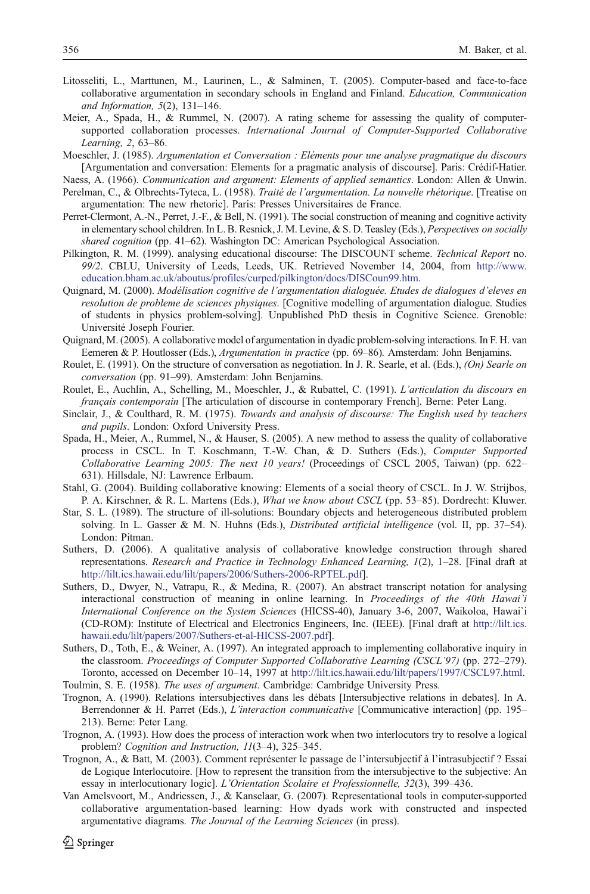- <span id="page-41-0"></span>Litosseliti, L., Marttunen, M., Laurinen, L., & Salminen, T. (2005). Computer-based and face-to-face collaborative argumentation in secondary schools in England and Finland. Education, Communication and Information, 5(2), 131–146.
- Meier, A., Spada, H., & Rummel, N. (2007). A rating scheme for assessing the quality of computersupported collaboration processes. International Journal of Computer-Supported Collaborative Learning, 2, 63–86.
- Moeschler, J. (1985). Argumentation et Conversation : Eléments pour une analyse pragmatique du discours [Argumentation and conversation: Elements for a pragmatic analysis of discourse]. Paris: Crédif-Hatier.
- Naess, A. (1966). Communication and argument: Elements of applied semantics. London: Allen & Unwin. Perelman, C., & Olbrechts-Tyteca, L. (1958). Traité de l'argumentation. La nouvelle rhétorique. [Treatise on argumentation: The new rhetoric]. Paris: Presses Universitaires de France.
- Perret-Clermont, A.-N., Perret, J.-F., & Bell, N. (1991). The social construction of meaning and cognitive activity in elementary school children. In L. B. Resnick, J. M. Levine, & S. D. Teasley (Eds.), Perspectives on socially shared cognition (pp. 41–62). Washington DC: American Psychological Association.
- Pilkington, R. M. (1999). analysing educational discourse: The DISCOUNT scheme. Technical Report no. 99/2. CBLU, University of Leeds, Leeds, UK. Retrieved November 14, 2004, from [http://www.](http://www.education.bham.ac.uk/aboutus/profiles/curped/pilkington/docs/DISCoun99.htm) [education.bham.ac.uk/aboutus/profiles/curped/pilkington/docs/DISCoun99.htm.](http://www.education.bham.ac.uk/aboutus/profiles/curped/pilkington/docs/DISCoun99.htm)
- Quignard, M. (2000). Modélisation cognitive de l'argumentation dialoguée. Etudes de dialogues d'eleves en resolution de probleme de sciences physiques. [Cognitive modelling of argumentation dialogue. Studies of students in physics problem-solving]. Unpublished PhD thesis in Cognitive Science. Grenoble: Université Joseph Fourier.
- Quignard, M. (2005). A collaborative model of argumentation in dyadic problem-solving interactions. In F. H. van Eemeren & P. Houtlosser (Eds.), Argumentation in practice (pp. 69–86). Amsterdam: John Benjamins.
- Roulet, E. (1991). On the structure of conversation as negotiation. In J. R. Searle, et al. (Eds.), *(On) Searle on* conversation (pp. 91–99). Amsterdam: John Benjamins.
- Roulet, E., Auchlin, A., Schelling, M., Moeschler, J., & Rubattel, C. (1991). L'articulation du discours en français contemporain [The articulation of discourse in contemporary French]. Berne: Peter Lang.
- Sinclair, J., & Coulthard, R. M. (1975). Towards and analysis of discourse: The English used by teachers and pupils. London: Oxford University Press.
- Spada, H., Meier, A., Rummel, N., & Hauser, S. (2005). A new method to assess the quality of collaborative process in CSCL. In T. Koschmann, T.-W. Chan, & D. Suthers (Eds.), Computer Supported Collaborative Learning 2005: The next 10 years! (Proceedings of CSCL 2005, Taiwan) (pp. 622– 631). Hillsdale, NJ: Lawrence Erlbaum.
- Stahl, G. (2004). Building collaborative knowing: Elements of a social theory of CSCL. In J. W. Strijbos, P. A. Kirschner, & R. L. Martens (Eds.), What we know about CSCL (pp. 53–85). Dordrecht: Kluwer.
- Star, S. L. (1989). The structure of ill-solutions: Boundary objects and heterogeneous distributed problem solving. In L. Gasser & M. N. Huhns (Eds.), *Distributed artificial intelligence* (vol. II, pp. 37–54). London: Pitman.
- Suthers, D. (2006). A qualitative analysis of collaborative knowledge construction through shared representations. Research and Practice in Technology Enhanced Learning, 1(2), 1–28. [Final draft at [http://lilt.ics.hawaii.edu/lilt/papers/2006/Suthers-2006-RPTEL.pdf\]](http://lilt.ics.hawaii.edu/lilt/papers/2006/Suthers-2006-RPTEL.pdf).
- Suthers, D., Dwyer, N., Vatrapu, R., & Medina, R. (2007). An abstract transcript notation for analysing interactional construction of meaning in online learning. In *Proceedings of the 40th Hawai'i* International Conference on the System Sciences (HICSS-40), January 3-6, 2007, Waikoloa, Hawai`i (CD-ROM): Institute of Electrical and Electronics Engineers, Inc. (IEEE). [Final draft at [http://lilt.ics.](http://lilt.ics.hawaii.edu/lilt/papers/2007/Suthers-et-al-HICSS-2007.pdf) [hawaii.edu/lilt/papers/2007/Suthers-et-al-HICSS-2007.pdf\]](http://lilt.ics.hawaii.edu/lilt/papers/2007/Suthers-et-al-HICSS-2007.pdf).
- Suthers, D., Toth, E., & Weiner, A. (1997). An integrated approach to implementing collaborative inquiry in the classroom. Proceedings of Computer Supported Collaborative Learning (CSCL'97) (pp. 272–279). Toronto, accessed on December 10–14, 1997 at <http://lilt.ics.hawaii.edu/lilt/papers/1997/CSCL97.html>.
- Toulmin, S. E. (1958). The uses of argument. Cambridge: Cambridge University Press.
- Trognon, A. (1990). Relations intersubjectives dans les débats [Intersubjective relations in debates]. In A. Berrendonner & H. Parret (Eds.), *L'interaction communicative* [Communicative interaction] (pp. 195– 213). Berne: Peter Lang.
- Trognon, A. (1993). How does the process of interaction work when two interlocutors try to resolve a logical problem? Cognition and Instruction, 11(3-4), 325-345.
- Trognon, A., & Batt, M. (2003). Comment représenter le passage de l'intersubjectif à l'intrasubjectif ? Essai de Logique Interlocutoire. [How to represent the transition from the intersubjective to the subjective: An essay in interlocutionary logic]. L'Orientation Scolaire et Professionnelle, 32(3), 399–436.
- Van Amelsvoort, M., Andriessen, J., & Kanselaar, G. (2007). Representational tools in computer-supported collaborative argumentation-based learning: How dyads work with constructed and inspected argumentative diagrams. The Journal of the Learning Sciences (in press).